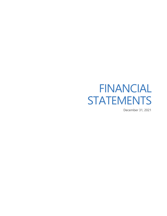# FINANCIAL **STATEMENTS**

December 31, 2021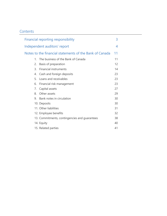### **Contents**

| Financial reporting responsibility                      | 3  |
|---------------------------------------------------------|----|
| Independent auditors' report                            | 4  |
| Notes to the financial statements of the Bank of Canada | 11 |
| The business of the Bank of Canada<br>1.                | 11 |
| Basis of preparation<br>2.                              | 12 |
| <b>Financial instruments</b><br>3                       | 14 |
| 4. Cash and foreign deposits                            | 23 |
| Loans and receivables<br>5.                             | 23 |
| Financial risk management<br>6.                         | 23 |
| 7.<br>Capital assets                                    | 27 |
| Other assets<br>8.                                      | 29 |
| Bank notes in circulation<br>9                          | 30 |
| 10. Deposits                                            | 30 |
| 11. Other liabilities                                   | 31 |
| 12. Employee benefits                                   | 32 |
| 13. Commitments, contingencies and guarantees           | 38 |
| 14. Equity                                              | 40 |
| 15. Related parties                                     | 41 |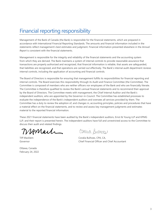# Financial reporting responsibility

Management of the Bank of Canada (the Bank) is responsible for the financial statements, which are prepared in accordance with International Financial Reporting Standards. The amounts and financial information included in the statements reflect management's best estimates and judgment. Financial information presented elsewhere in the *Annual Report* is consistent with the financial statements.

Management is responsible for the integrity and reliability of the financial statements and the accounting system from which they are derived. The Bank maintains a system of internal controls to provide reasonable assurance that transactions are properly authorized and recognized, that financial information is reliable, that assets are safeguarded, that liabilities are recognized, and that operations are carried out effectively. The Bank's internal audit department reviews internal controls, including the application of accounting and financial controls.

The Board of Directors is responsible for ensuring that management fulfills its responsibilities for financial reporting and internal controls. The Board exercises this responsibility through its Audit and Finance Committee (the Committee). The Committee is composed of members who are neither officers nor employees of the Bank and who are financially literate. The Committee is therefore qualified to review the Bank's annual financial statements and to recommend their approval by the Board of Directors. The Committee meets with management, the Chief Internal Auditor and the Bank's independent auditors, who are appointed by the Governor-in-Council. The Committee has established processes to evaluate the independence of the Bank's independent auditors and oversees all services provided by them. The Committee has a duty to review the adoption of, and changes in, accounting principles, policies and procedures that have a material effect on the financial statements, and to review and assess key management judgments and estimates material to the reported financial information.

These 2021 financial statements have been audited by the Bank's independent auditors, Ernst & Young LLP and KPMG LLP, and their report is presented herein. The independent auditors have full and unrestricted access to the Committee to discuss their audit and related findings.

MAMartin

Ottawa, Canada February 24, 2022

Corana Buences

Tiff Macklem Coralia Bulhoes, CPA, CA, Governor **Chief Financial Officer and Chief Accountant**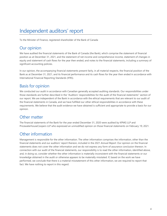# Independent auditors' report

To the Minister of Finance, registered shareholder of the Bank of Canada

## Our opinion

We have audited the financial statements of the Bank of Canada (the Bank), which comprise the statement of financial position as at December 31, 2021, and the statement of net income and comprehensive income, statement of changes in equity and statement of cash flows for the year then ended, and notes to the financial statements, including a summary of significant accounting policies.

In our opinion, the accompanying financial statements present fairly, in all material respects, the financial position of the Bank as at December 31, 2021, and its financial performance and its cash flows for the year then ended in accordance with International Financial Reporting Standards (IFRS).

# Basis for opinion

We conducted our audit in accordance with Canadian generally accepted auditing standards. Our responsibilities under those standards are further described in the "Auditors' responsibilities for the audit of the financial statements" section of our report. We are independent of the Bank in accordance with the ethical requirements that are relevant to our audit of the financial statements in Canada, and we have fulfilled our other ethical responsibilities in accordance with these requirements. We believe that the audit evidence we have obtained is sufficient and appropriate to provide a basis for our opinion.

# Other matter

The financial statements of the Bank for the year ended December 31, 2020 were audited by KPMG LLP and PricewaterhouseCoopers LLP who expressed an unmodified opinion on those financial statements on February 19, 2021.

# Other information

Management is responsible for the other information. The other information comprises the information, other than the financial statements and our auditors' report thereon, included in the 2021 *Annual Report*. Our opinion on the financial statements does not cover the other information and we do not express any form of assurance conclusion thereon. In connection with our audit of the financial statements, our responsibility is to read the other information, identified above, and, in doing so, consider whether the other information is materially inconsistent with the financial statements or our knowledge obtained in the audit or otherwise appears to be materially misstated. If, based on the work we have performed, we conclude that there is a material misstatement of this other information, we are required to report that fact. We have nothing to report in this regard.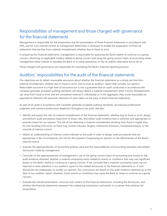# Responsibilities of management and those charged with governance for the financial statements

Management is responsible for the preparation and fair presentation of these financial statements in accordance with IFRS, and for such internal control as management determines is necessary to enable the preparation of financial statements that are free from material misstatement, whether due to fraud or error.

In preparing the financial statements, management is responsible for assessing the Bank's ability to continue as a going concern, disclosing, as applicable, matters related to going concern and using the going concern basis of accounting unless management either intends to liquidate the Bank or to cease operations, or has no realistic alternative but to do so.

Those charged with governance are responsible for overseeing the Bank's financial reporting process.

### Auditors' responsibilities for the audit of the financial statements

Our objectives are to obtain reasonable assurance about whether the financial statements as a whole are free from material misstatement, whether due to fraud or error, and to issue an auditors' report that includes our opinion. Reasonable assurance is a high level of assurance but is not a guarantee that an audit conducted in accordance with Canadian generally accepted auditing standards will always detect a material misstatement when it exists. Misstatements can arise from fraud or error and are considered material if, individually or in the aggregate, they could reasonably be expected to influence the economic decisions of users taken on the basis of these financial statements.

As part of an audit in accordance with Canadian generally accepted auditing standards, we exercise professional judgment and maintain professional skepticism throughout the audit. We also:

- Identify and assess the risks of material misstatement of the financial statements, whether due to fraud or error; design and perform audit procedures responsive to those risks; and obtain audit evidence that is sufficient and appropriate to provide a basis for our opinion. The risk of not detecting a material misstatement resulting from fraud is higher than for one resulting from error, as fraud may involve collusion, forgery, intentional omissions, misrepresentations, or the override of internal control.
- Obtain an understanding of internal control relevant to the audit in order to design audit procedures that are appropriate in the circumstances, but not for the purpose of expressing an opinion on the effectiveness of the Bank's internal control.
- Evaluate the appropriateness of accounting policies used and the reasonableness of accounting estimates and related disclosures made by management.
- Conclude on the appropriateness of management's use of the going concern basis of accounting and, based on the audit evidence obtained, whether a material uncertainty exists related to events or conditions that may cast significant doubt on the Bank's ability to continue as a going concern. If we conclude that a material uncertainty exists, we are required to draw attention in our auditors' report to the related disclosures in the financial statements or, if such disclosures are inadequate, to modify our opinion. Our conclusions are based on the audit evidence obtained up to the date of our auditors' report. However, future events or conditions may cause the Bank to cease to continue as a going concern.
- Evaluate the overall presentation, structure and content of the financial statements, including the disclosures, and whether the financial statements represent the underlying transactions and events in a manner that achieves fair presentation.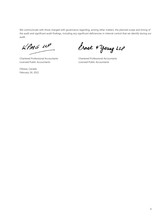We communicate with those charged with governance regarding, among other matters, the planned scope and timing of the audit and significant audit findings, including any significant deficiencies in internal control that we identify during our audit.

 $kPMS$   $\mu P$ 

Chartered Professional Accountants Chartered Professional Accountants Licensed Public Accountants Licensed Public Accountants

Ottawa, Canada February 24, 2022

Ernet + Young LLP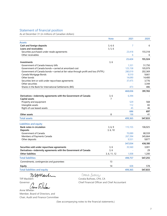### Statement of financial position

As at December 31 (in millions of Canadian dollars)

|                                                                                  | <b>Note</b>  | 2021    | 2020    |
|----------------------------------------------------------------------------------|--------------|---------|---------|
| <b>Assets</b>                                                                    |              |         |         |
| Cash and foreign deposits                                                        | 3, 4, 6      | 7       | 6       |
| Loans and receivables                                                            | 3, 5, 6      |         |         |
| Securities purchased under resale agreements                                     |              | 23,418  | 155,318 |
| Other receivables                                                                |              | 6       | 6       |
|                                                                                  |              | 23,424  | 155,324 |
| Investments                                                                      | 3, 6         |         |         |
| Government of Canada treasury bills                                              |              | 1,331   | 51,750  |
| Government of Canada bonds-carried at amortized cost                             |              | 125,158 | 105,979 |
| Government of Canada bonds-carried at fair value through profit and loss (FVTPL) |              | 280,019 | 202,369 |
| Canada Mortgage Bonds                                                            |              | 9,510   | 9,661   |
| Other bonds                                                                      |              | 14,690  | 14,400  |
| Securities lent or sold under repurchase agreements                              |              | 37,475  | 3,776   |
| Other securities                                                                 |              |         | 3,344   |
| Shares in the Bank for International Settlements (BIS)                           |              | 473     | 486     |
|                                                                                  |              | 468,656 | 391,765 |
| Derivatives-indemnity agreements with the Government of Canada                   | 3, 6         | 6,394   |         |
| Capital assets                                                                   | 7            |         |         |
| Property and equipment                                                           |              | 529     | 568     |
| Intangible assets                                                                |              | 112     | 83      |
| Right-of-use leased assets                                                       |              | 45      | 46      |
|                                                                                  |              | 686     | 697     |
| Other assets                                                                     | 8            | 198     | 41      |
| <b>Total assets</b>                                                              |              | 499,365 | 547,833 |
| <b>Liabilities and equity</b>                                                    |              |         |         |
| <b>Bank notes in circulation</b>                                                 | 3, 6, 9      | 115,155 | 106,925 |
| Deposits                                                                         | 3, 6, 10     |         |         |
| Government of Canada                                                             |              | 70,089  | 80,559  |
| Members of Payments Canada                                                       |              | 267,394 | 345,664 |
| Other deposits                                                                   |              | 9,551   | 9,877   |
|                                                                                  |              | 347,034 | 436,100 |
| Securities sold under repurchase agreements                                      | 3, 6         | 35,560  | 3,001   |
| Derivatives-indemnity agreements with the Government of Canada                   | 3, 6         |         | 29      |
| <b>Other liabilities</b>                                                         | 3, 6, 11, 12 | 1,008   | 1,200   |
| <b>Total liabilities</b>                                                         |              | 498,757 | 547,255 |
| Commitments, contingencies and guarantees                                        | 13           |         |         |
| Equity                                                                           | 14           | 608     | 578     |
| <b>Total liabilities and equity</b>                                              |              | 499,365 | 547,833 |

Tiff Macklem Coralia Bulhoes, CPA, CA<br>
Tiff Macklem Coralia Bulhoes, CPA, CA<br>
Governor Chief Financial Officer and

Anne Whelan Member, Board of Directors, and Chair, Audit and Finance Committee

Chief Financial Officer and Chief Accountant

(See accompanying notes to the financial statements.)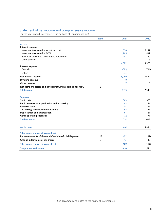### Statement of net income and comprehensive income

For the year ended December 31 (in millions of Canadian dollars)

|                                                                | <b>Note</b> | 2021  | 2020  |
|----------------------------------------------------------------|-------------|-------|-------|
| Income                                                         |             |       |       |
| Interest revenue                                               |             |       |       |
| Investments-carried at amortized cost                          |             | 1,830 | 2,147 |
| Investments-carried at FVTPL                                   |             | 1,905 | 432   |
| Securities purchased under resale agreements                   |             | 287   | 790   |
| Other sources                                                  |             |       | 9     |
|                                                                |             | 4,022 | 3,378 |
| Interest expense                                               |             |       |       |
| Deposits                                                       |             | (889) | (794) |
| Other                                                          |             | (34)  |       |
| Net interest income                                            |             | 3,099 | 2,584 |
| Dividend revenue                                               |             | 9     |       |
| Other revenue                                                  |             | 7     | 6     |
| Net gains and losses on financial instruments carried at FVTPL | 3           |       |       |
| <b>Total income</b>                                            |             | 3,115 | 2,590 |
| <b>Expenses</b>                                                |             |       |       |
| <b>Staff costs</b>                                             |             | 363   | 323   |
| Bank note research, production and processing                  |             | 83    | 51    |
| <b>Premises costs</b>                                          |             | 34    | 31    |
| Technology and telecommunications                              |             | 95    | 89    |
| Depreciation and amortization                                  |             | 67    | 61    |
| Other operating expenses                                       |             | 72    | 71    |
| <b>Total expenses</b>                                          |             | 714   | 626   |
| <b>Net income</b>                                              |             | 2,401 | 1,964 |
| Other comprehensive income (loss)                              |             |       |       |
| Remeasurements of the net defined-benefit liability/asset      | 12          | 422   | (191) |
| Change in fair value of BIS shares                             | 3           | (13)  | 48    |
| Other comprehensive income (loss)                              |             | 409   | (143) |
| <b>Comprehensive income</b>                                    |             | 2,810 | 1,821 |

(See accompanying notes to the financial statements.)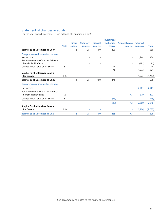### Statement of changes in equity

For the year ended December 31 (in millions of Canadian dollars)

|                                         |             |                          |                  |                | Investment               |                          |                          |              |
|-----------------------------------------|-------------|--------------------------|------------------|----------------|--------------------------|--------------------------|--------------------------|--------------|
|                                         |             | <b>Share</b>             | <b>Statutory</b> | <b>Special</b> | revaluation              | <b>Actuarial gains</b>   | <b>Retained</b>          |              |
|                                         | <b>Note</b> | capital                  | reserve          | reserve        | reserve                  | reserve                  | earnings                 | <b>Total</b> |
| Balance as at December 31, 2019         |             | 5                        | 25               | 100            | 400                      |                          |                          | 530          |
| Comprehensive income for the year       |             |                          |                  |                |                          |                          |                          |              |
| Net income                              |             |                          |                  |                |                          | $\overline{\phantom{a}}$ | 1,964                    | 1,964        |
| Remeasurements of the net defined-      |             |                          |                  |                |                          |                          |                          |              |
| benefit liability/asset                 | 12          |                          |                  |                | $\overline{\phantom{a}}$ |                          | (191)                    | (191)        |
| Change in fair value of BIS shares      | 3           |                          |                  |                | 48                       |                          |                          | 48           |
|                                         |             |                          |                  |                | 48                       |                          | 1,773                    | 1,821        |
| Surplus for the Receiver General        |             |                          |                  |                |                          |                          |                          |              |
| for Canada                              | 11, 14      | $\overline{\phantom{a}}$ |                  |                |                          |                          | (1,773)                  | (1, 773)     |
| Balance as at December 31, 2020         |             | 5.                       | 25               | 100            | 448                      |                          | $\overline{\phantom{a}}$ | 578          |
| Comprehensive income for the year       |             |                          |                  |                |                          |                          |                          |              |
| Net income                              |             |                          |                  |                |                          | ٠                        | 2,401                    | 2,401        |
| Remeasurements of the net defined-      |             |                          |                  |                |                          |                          |                          |              |
| benefit liability/asset                 | 12          |                          |                  |                |                          | 43                       | 379                      | 422          |
| Change in fair value of BIS shares      | 3           |                          |                  |                | (13)                     |                          |                          | (13)         |
|                                         |             |                          |                  |                | (13)                     | 43                       | 2,780                    | 2,810        |
| <b>Surplus for the Receiver General</b> |             |                          |                  |                |                          |                          |                          |              |
| for Canada                              | 11, 14      |                          |                  |                |                          | $\overline{\phantom{a}}$ | (2,780)                  | (2,780)      |
| Balance as at December 31, 2021         |             | 5                        | 25               | 100            | 435                      | 43                       |                          | 608          |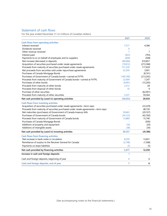### Statement of cash flows

For the year ended December 31 (in millions of Canadian dollars)

|                                                                                  | 2021       | 2020           |
|----------------------------------------------------------------------------------|------------|----------------|
| <b>Cash flows from operating activities</b>                                      |            |                |
| Interest received                                                                | 7,571      | 4,386          |
| Dividends received                                                               | 9          |                |
| Other revenue received                                                           | 7          | $\overline{7}$ |
| Interest paid                                                                    | (923)      | (793)          |
| Payments to or on behalf of employees and to suppliers                           | (604)      | (508)          |
| Net increase (decrease) in deposits                                              | (89,066)   | 410,857        |
| Acquisition of securities purchased under resale agreements                      | (19, 812)  | (272, 368)     |
| Proceeds from maturity of securities purchased under resale agreements           | 151,239    | 117,639        |
| Net proceeds from securities sold under repurchase agreements                    | 32,559     | 3,001          |
| Purchases of Canada Mortgage Bonds                                               |            | (8,741)        |
| Purchases of Government of Canada bonds-carried at FVTPL                         | (140, 190) | (213, 202)     |
| Proceeds from maturity of Government of Canada bonds-carried at FVTPL            | 22,009     | 7,247          |
| Purchases of other bonds                                                         | (4, 491)   | (15, 295)      |
| Proceeds from maturity of other bonds                                            | 2,312      | 28             |
| Proceeds from disposal of other bonds                                            | 10         | 9              |
| Purchase of other securities                                                     |            | (62, 901)      |
| Proceeds from maturity of other securities                                       | 3,337      | 59,564         |
| Net cash provided by (used in) operating activities                              | (36,033)   | 28,930         |
| <b>Cash flows from investing activities</b>                                      |            |                |
| Acquisition of securities purchased under resale agreements-term repo            |            | (33, 229)      |
| Proceeds from maturity of securities purchased under resale agreements-term repo |            | 48,726         |
| Net maturities (purchases) of Government of Canada treasury bills                | 50,843     | (29, 107)      |
| Purchases of Government of Canada bonds                                          | (34, 123)  | (42,760)       |
| Proceeds from maturity of Government of Canada bonds                             | 13,889     | 15,740         |
| Purchases of Canada Mortgage Bonds                                               |            | (500)          |
| Additions of property and equipment                                              | (14)       | (24)           |
| Additions of intangible assets                                                   | (38)       | (34)           |
| Net cash provided by (used in) investing activities                              | 30,557     | (41, 188)      |
| <b>Cash flows from financing activities</b>                                      |            |                |
| Net increase in bank notes in circulation                                        | 8,230      | 13,831         |
| Remittance of surplus to the Receiver General for Canada                         | (2,748)    | (1, 568)       |
| Payments on lease liabilities                                                    | (5)        | (5)            |
| Net cash provided by financing activities                                        | 5,477      | 12,258         |
| Increase in cash and foreign deposits                                            | 1          |                |
| Cash and foreign deposits, beginning of year                                     | 6          | 6              |
| Cash and foreign deposits, end of year                                           | 7          | 6              |
|                                                                                  |            |                |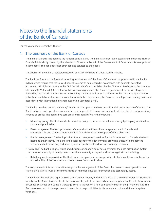# Notes to the financial statements of the Bank of Canada

For the year ended December 31, 2021

### 1. The business of the Bank of Canada

The Bank of Canada (the Bank) is the nation's central bank. The Bank is a corporation established under the *Bank of Canada Act*, is wholly owned by the Minister of Finance on behalf of the Government of Canada and is exempt from income taxes. The Bank does not offer banking services to the public.

The address of the Bank's registered head office is 234 Wellington Street, Ottawa, Ontario.

The Bank conforms to the financial reporting requirements of the *Bank of Canada Act* as prescribed in the Bank's bylaws, which require that the Bank's financial statements be prepared in accordance with generally accepted accounting principles as set out in the *CPA Canada Handbook*, published by the Chartered Professional Accountants of Canada (CPA Canada). Consistent with CPA Canada guidance, the Bank is a government business enterprise as defined by the Canadian Public Sector Accounting Standards and, as such, adheres to the standards applicable to publicly accountable enterprises. In compliance with this requirement, the Bank has developed accounting policies in accordance with International Financial Reporting Standards (IFRS).

The Bank's mandate under the *Bank of Canada Act* is to promote the economic and financial welfare of Canada. The Bank's activities and operations are undertaken in support of this mandate and not with the objective of generating revenue or profits. The Bank's five core areas of responsibility are the following:

- **Monetary policy**: The Bank conducts monetary policy to preserve the value of money by keeping inflation low, stable and predictable.
- **Financial system**: The Bank promotes safe, sound and efficient financial systems, within Canada and internationally, and conducts transactions in financial markets in support of these objectives.
- **Funds management**: The Bank provides funds management services for the Government of Canada, the Bank itself and other clients. The Bank is the fiscal agent for the government, providing treasury-management services and administering and advising on the public debt and foreign exchange reserves.
- **Currency**: The Bank designs, issues and distributes Canada's bank notes, oversees the note distribution system and ensures a supply of quality bank notes that are readily accepted and secure against counterfeiting.
- **Retail payments supervision**: The Bank supervises payment service providers to build confidence in the safety and reliability of their services and protect users from specific risks.

The corporate administration function supports the management of the Bank's human resources, operations and strategic initiatives as well as the stewardship of financial, physical, information and technology assets.

The Bank has the exclusive right to issue Canadian bank notes, and the face value of these bank notes is a significant liability on the Bank's balance sheet. The Bank invests part of the proceeds from issuing bank notes into Government of Canada securities and Canada Mortgage Bonds acquired on a non-competitive basis in the primary market. The Bank also uses part of these proceeds to execute its responsibilities for its monetary policy and financial system functions.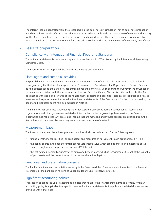The interest income generated from the assets backing the bank notes in circulation (net of bank note production and distribution costs) is referred to as seigniorage. It provides a stable and constant source of reserves and funding for the Bank's operations, which enables the Bank to function independently of government appropriations. Net income is remitted to the Receiver General for Canada in accordance with the requirements of the *Bank of Canada Act*.

### 2. Basis of preparation

### Compliance with International Financial Reporting Standards

These financial statements have been prepared in accordance with IFRS as issued by the International Accounting Standards Board.

The Board of Directors approved the financial statements on February 24, 2022.

### Fiscal agent and custodial activities

Responsibility for the operational management of the Government of Canada's financial assets and liabilities is borne jointly by the Bank (as fiscal agent for the Government of Canada) and the Department of Finance Canada. In its role as fiscal agent, the Bank provides transactional and administrative support to the Government of Canada in certain areas, consistent with the requirements of section 24 of the *Bank of Canada Act*. Also in this role, the Bank does not bear the risks and rewards of the related financial assets and liabilities. These assets, liabilities and related revenues and expenses are not included in the financial statements of the Bank, except for the costs incurred by the Bank to fulfill its fiscal-agent role, as discussed in Note 15.

The Bank provides securities safekeeping and other custodial services to foreign central banks, international organizations and other government-related entities. Under the terms governing these services, the Bank is indemnified against losses. Any assets and income that are managed under these services are excluded from the Bank's financial statements because they are not assets or income of the Bank.

### Measurement base

The financial statements have been prepared on a historical cost basis, except for the following items:

- financial instruments classified (or designated) and measured at fair value through profit or loss (FVTPL);
- the Bank's shares in the Bank for International Settlements (BIS), which are designated and measured at fair value through other comprehensive income (FVOCI); and
- the net defined-benefit liability/asset of employee benefit plans, which is recognized as the net of the fair value of plan assets and the present value of the defined-benefit obligations.

### Functional and presentation currency

The Bank's functional and presentation currency is the Canadian dollar. The amounts in the notes to the financial statements of the Bank are in millions of Canadian dollars, unless otherwise stated.

### Significant accounting policies

This section contains the Bank's accounting policies that relate to the financial statements as a whole. When an accounting policy is applicable to a specific note to the financial statements, the policy and related disclosures are provided within that note.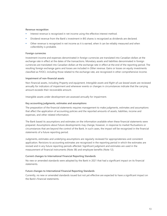#### **Revenue recognition**

- Interest revenue is recognized in net income using the effective interest method.
- Dividend revenue from the Bank's investment in BIS shares is recognized as dividends are declared.
- Other revenue is recognized in net income as it is earned, when it can be reliably measured and when collectibility is probable.

#### **Foreign currencies**

Investment income and expenses denominated in foreign currencies are translated into Canadian dollars at the exchange rate in effect at the dates of the transactions. Monetary assets and liabilities denominated in foreign currencies are translated into Canadian dollars at the exchange rate in effect at the end of the reporting period. The resulting foreign exchange gains and losses are included in *Other revenue*. Gains or losses on equity investments classified as FVOCI, including those related to the exchange rate, are recognized in other comprehensive income.

#### **Impairment of non-financial assets**

Non-financial assets, including *Property and equipment, Intangible assets* and *Right-of-use leased assets* are reviewed annually for indicators of impairment and whenever events or changes in circumstances indicate that the carrying amount exceeds their recoverable amount.

Intangible assets under development are assessed annually for impairment.

### **Key accounting judgments, estimates and assumptions**

The preparation of the financial statements requires management to make judgments, estimates and assumptions that affect the application of accounting policies and the reported amounts of assets, liabilities, income and expenses, and other related information.

The Bank based its assumptions and estimates on the information available when these financial statements were prepared. Assumptions about future developments may change, however, in response to market fluctuations or circumstances that are beyond the control of the Bank. In such cases, the impact will be recognized in the financial statements of a future reporting period.

Judgments, estimates and underlying assumptions are regularly reviewed for appropriateness and consistent application. Revisions to accounting estimates are recognized in the reporting period in which the estimates are revised and in any future reporting periods affected. Significant judgment and estimates are used in the measurement of financial instruments (Note 3B) and employee benefits (Note 12).

#### **Current changes to International Financial Reporting Standards**

No new or amended standards were adopted by the Bank in 2021 that had a significant impact on its financial statements.

#### **Future changes to International Financial Reporting Standards**

Currently, no new or amended standards issued but not yet effective are expected to have a significant impact on the Bank's financial statements.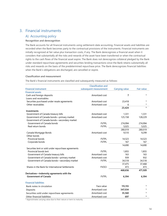### 3. Financial instruments

### A) Accounting policy

### **Recognition and derecognition**

The Bank accounts for all financial instruments using settlement-date accounting. Financial assets and liabilities are recorded when the Bank becomes party to the contractual provisions of the instruments. Financial instruments are initially recognized at fair value plus transaction costs, if any. The Bank derecognizes a financial asset when it considers that substantially all the risks and rewards of the asset have been transferred or when the contractual rights to the cash flows of the financial asset expire. The Bank does not derecognize collateral pledged by the Bank under standard repurchase agreements and securities-lending transactions since the Bank retains substantially all risks and rewards on the basis of the predetermined repurchase price. The Bank derecognizes financial liabilities when the Bank's obligations are discharged, are cancelled or expire.

### **Classification and measurement**

The Bank's financial instruments are classified and subsequently measured as follows:

|                                                                          | <b>Classification and</b> |                       |                   |
|--------------------------------------------------------------------------|---------------------------|-----------------------|-------------------|
| <b>Financial instrument</b>                                              | subsequent measurement    | <b>Carrying value</b> | <b>Fair value</b> |
| <b>Financial assets</b>                                                  |                           |                       |                   |
| Cash and foreign deposits                                                | Amortized cost            | 7                     | $^\star$          |
| Loans and receivables                                                    |                           |                       |                   |
| Securities purchased under resale agreements                             | Amortized cost            | 23,418                |                   |
| Other receivables                                                        | Amortized cost            | 6                     |                   |
|                                                                          |                           | 23,424                | $\star$           |
| <b>Investments</b>                                                       |                           |                       |                   |
| Government of Canada treasury bills                                      | Amortized cost            | 1,331                 | 1,331             |
| Government of Canada bonds-primary market                                | Amortized cost            | 125,158               | 128,229           |
| Government of Canada bonds-secondary market                              |                           |                       |                   |
| Government of Canada bonds                                               | <b>FVTPL</b>              | 274,994               | 274,994           |
| Real return bonds                                                        | <b>FVTPL</b>              | 5,025                 | 5,025             |
|                                                                          |                           | 280,019               | 280,019           |
| Canada Mortgage Bonds                                                    | Amortized cost            | 9,510                 | 9,299             |
| Other bonds                                                              |                           |                       |                   |
| Provincial bonds                                                         | <b>FVTPL</b>              | 14,523                | 14,523            |
| Corporate bonds                                                          | <b>FVTPL</b>              | 167                   | 167               |
|                                                                          |                           | 14,690                | 14,690            |
| Securities lent or sold under repurchase agreements                      |                           |                       |                   |
| Provincial bonds lent                                                    | <b>FVTPL</b>              | 1,855                 | 1,855             |
| Government of Canada treasury bills                                      | Amortized cost            | 163                   | 163               |
| Government of Canada bonds-primary market                                | Amortized cost            | 939                   | 932               |
| Government of Canada bonds-secondary market                              | <b>FVTPL</b>              | 34,518                | 34,518            |
| Shares in the Bank for International Settlements                         | <b>FVOCI</b>              | 37,475<br>473         | 37,468<br>473     |
|                                                                          |                           |                       |                   |
|                                                                          |                           | 468,656               | 471,509           |
| Derivatives-indemnity agreements with the<br><b>Government of Canada</b> | <b>FVTPL</b>              | 6,394                 | 6,394             |
|                                                                          |                           |                       |                   |
| <b>Financial liabilities</b>                                             |                           |                       |                   |
| Bank notes in circulation                                                | Face value                | 115,155               |                   |
| <b>Deposits</b>                                                          | Amortized cost            | 347,034               |                   |
| Securities sold under repurchase agreements                              | Amortized cost            | 35,560                |                   |
| <b>Other financial liabilities</b>                                       | Amortized cost            | 697                   | $\star$           |
| t Approvimator carning value due to their pature or term to maturity     |                           |                       |                   |

Approximates carrying value due to their nature or term to maturity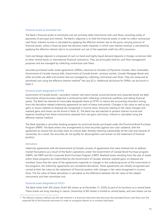### *Financial assets at amortized cost*

The Bank's financial assets at amortized cost are primarily debt instruments with cash flows consisting solely of payments of principal and interest. The Bank's objective is to hold the financial assets in order to collect contractual cash flows. Interest income is calculated by applying the effective interest rate to the gross carrying amount of financial assets, unless a financial asset has become credit-impaired, in which case interest revenue is calculated by applying the effective interest rate to its amortized cost net of the expected credit loss (ECL) provision.

*Cash and foreign deposits* is composed of cash on hand and highly liquid demand deposits in foreign currencies held at other central banks or international financial institutions. They are principally held for cash flow management purposes and are managed by collecting contractual cash flows.

*Securities purchased under resale agreements (SPRAs)*, *advances to members of Payments Canada*, *other receivables*, *Government of Canada treasury bills*, *Government of Canada bonds—primary market, Canada Mortgage Bonds* and *other securities* are debt instruments that are managed by collecting contractual cash flows. They are measured at amortized cost using the effective interest method**[1](#page-14-0)** less any ECLs. Additional disclosure for SPRAs can be found in Note 5.

### *Financial assets designated at FVTPL*

*Government of Canada bonds—secondary market*, *real return bonds*, *provincial bonds* and *corporate bonds* are debt instruments whose business objective is achieved by both collecting contractual cashflows and selling financial assets. The Bank has elected to irrevocably designate these at FVTPL to reduce the accounting mismatch arising from the derivative-related indemnity agreement on each of these instruments. Changes in fair value as well as any gains or losses realized on disposal are recognized in income (loss). Amounts relating to fair value changes and realized gains and losses can be found in Note 3C. The Bank has also elected to present interest income and expense resulting from these instruments separate from net gains and losses. Interest is calculated using the effective interest method.

The Bank operates a securities-lending program for provincial bonds purchased under the Provincial Bond Purchase Program (PBPP). The Bank enters into arrangements to lend securities against non-cash collateral, with the agreement to receive the securities back at a future date, thereby retaining substantially all the risks and rewards of ownership. As a result, the securities do not qualify for derecognition and remain on the statement of financial position.

#### *Derivatives*

*Indemnity agreements with the Government of Canada* consists of agreements that were entered into to address market fluctuations as a result of the Bank's operations under the Government of Canada Bond Purchase program (GBPP), the PBPP and the Corporate Bond Purchase Program (CBPP). Realized losses resulting from the sale of assets within these programs are indemnified by the Government of Canada, whereas realized gains on disposal are remitted. Given that the value of the agreements responds to changes in the underlying prices of the instruments in the programs, the indemnity agreements are considered derivatives. These agreements are initially recognized and carried at their fair value on the statement of financial position with changes in fair value recognized in income (loss). The fair value of these derivatives is calculated as the difference between the fair value of the related instruments and their amortized cost.

### *Financial assets designated at FVOCI*

The Bank holds 9,441 BIS shares (9,441 BIS shares as at December 31, 2020) as part of its functions as a central bank. These shares are long-standing in nature. Ownership of BIS shares is limited to central banks, and new shares can be

<span id="page-14-0"></span>**<sup>1</sup>** The effective interest method uses the rate inherent in a financial instrument that discounts the estimated future cash flows over the expected life of the financial instrument in order to recognize interest on a constant-yield basis.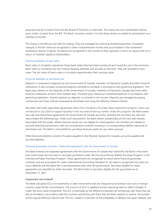acquired only by invitation from the BIS Board of Directors to subscribe. The shares are non-transferable without prior written consent from the BIS. The Bank's business model is to hold these shares to enable its participation as a member of the BIS.

The shares in the BIS are not held for trading. They are managed by collecting dividend payments. Unrealized changes in the fair value are recognized in other comprehensive income and accumulated in the investment revaluation reserve in *Equity*. Dividends are recognized in net income as they represent a return on equity and not a return of invested capital to shareholders.

### *Financial liabilities at face value*

*Bank notes in circulation* represents those bank notes that have been produced and issued for use in the economy. Bank notes in circulation are non-interest-bearing liabilities and are due on demand. They are recorded at face value. The fair value of bank notes in circulation approximates their carrying value.

### *Financial liabilities at amortized cost*

*Deposits* is composed of deposits by the Government of Canada, members of Payments Canada and other financial institutions. It also includes unclaimed balances remitted to the Bank in accordance with governing legislation. The Bank pays interest on the deposits of the Government of Canada, members of Payments Canada and some other financial institutions at short-term market rates. The Bank pays interest on unclaimed balances in accordance with governing legislation. Interest expense on deposits is included in net income. Deposits are managed by paying contractual cash flows and are measured at amortized cost using the effective interest method.

*Securities sold under repurchase agreements* stems from the Bank's Securities Repo Operations program, which was introduced in July 2020 to support liquidity in the securities financing market. Under this program, the Bank enters into sale and repurchase agreements for Government of Canada securities, whereby the securities are sold and repurchased the following day. Under such transactions, the Bank retains substantially all the risks and rewards associated with the assets. Where financial assets are not eligible for derecognition, the transfers are viewed as secured financing transactions, with any consideration received resulting in a corresponding liability measured at amortized cost. The Bank is not entitled to use these financial assets for any other purpose.

*Other financial liabilities* consists of surplus payable to the Receiver General for Canada, accounts payable and accrued liabilities.

#### *Financial guarantee contracts—indemnity agreements with the Government of Canada*

The Bank entered into separate agreements with the Government of Canada that indemnify the Bank in the event that credit losses are incurred on securities purchased under the Provincial Money Market Purchase Program or the Commercial Paper Purchase Program. These agreements are recognized as stand-alone financial guarantee contracts and are accounted for under International Accounting Standard 37. An asset is recognized only when an issuer defaults and the Bank files a reimbursement claim with the government. Securities eligible for these guarantees are classified as other securities. The Bank held no securities eligible for the guarantees as at December 31, 2021.

#### **Impairment and writeoff**

The Bank calculates ECLs on investments in debt instruments that are measured at amortized cost and on foreign currency swap facility commitments. The amount of ECLs is updated at each reporting date to reflect changes in credit risk since initial recognition. The ECL is estimated as the difference between all contractual cash flows that are due to the Bank in accordance with the contract and all the cash flows that the Bank expects to receive, discounted at the original effective interest rate. The ECL model is a function of the probability of default, loss given default, and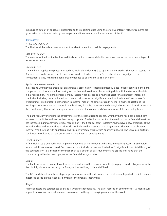exposure at default of an issuer, discounted to the reporting date using the effective interest rate. Instruments are grouped on a collective basis by counterparty and instrument type for evaluation of the ECL.

### *Key concepts*

#### *Probability of default*

The likelihood that a borrower would not be able to meet its scheduled repayments.

#### *Loss given default*

The amount of the loss the Bank would likely incur if a borrower defaulted on a loan, expressed as a percentage of exposure at default.

#### *Low credit risk*

The Bank has applied the practical expedient available under IFRS 9 to applicable low credit risk financial assets. The Bank considers a financial asset to have a low credit risk when the asset's creditworthiness is judged to be "investment grade," which the Bank broadly defines as equivalent to BBB or higher.

#### *Significant increase in credit risk*

In assessing whether the credit risk on a financial asset has increased significantly since initial recognition, the Bank compares the risk of a default occurring on the financial asset as at the reporting date with the risk as at the date of initial recognition. The Bank considers many factors when assessing a financial asset for a significant increase in credit risk, including but not limited to (1) an actual or expected significant deterioration in the financial asset's credit rating; (2) significant deterioration in external market indicators of credit risk for a financial asset; and (3) existing or forecast adverse changes in the business, financial, regulatory, technological or economic environment of the counterparty that result in a significant decrease in the counterparty's ability to meet its debt obligations.

The Bank regularly monitors the effectiveness of the criteria used to identify whether there has been a significant increase in credit risk and revises them as appropriate. The Bank assumes that the credit risk on a financial asset has not increased significantly since initial recognition if the financial asset is determined to have a low credit risk at the reporting date and monitoring activities do not indicate the presence of a trigger event. The Bank corroborates external credit ratings with an internal analysis performed annually, with quarterly updates. The Bank also performs continuous monitoring of relevant economic and financial developments.

#### *Credit-impaired*

A financial asset is deemed credit-impaired when one or more events with a detrimental impact on its estimated future cash flows have occurred. Such events could include but are not limited to (1) significant financial difficulty of the counterparty; (2) a breach of contract, such as a default or past-due event; and (3) the likelihood that the counterparty will enter bankruptcy or other financial reorganization.

#### *Default*

The Bank considers a financial asset to be in default when the borrower is unlikely to pay its credit obligations to the Bank in full, without recourse by the Bank, such as realizing collateral (if held).

The ECL model applies a three-stage approach to measure the allowance for credit losses. Expected credit losses are measured based on the stage assignment of the financial instrument:

#### **Stage 1**

Financial assets are categorized as Stage 1 when first recognized. The Bank records an allowance for 12-month ECLs in profit or loss, and interest revenue is calculated on the gross carrying amount of the asset.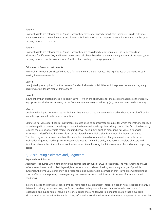### **Stage 2**

Financial assets are categorized as Stage 2 when they have experienced a significant increase in credit risk since initial recognition. The Bank records an allowance for lifetime ECLs, and interest revenue is calculated on the gross carrying amount of the asset.

#### **Stage 3**

Financial assets are categorized as Stage 3 when they are considered credit-impaired. The Bank records an allowance for lifetime ECLs, and interest revenue is calculated based on the net carrying amount of the asset (gross carrying amount less the loss allowance), rather than on its gross carrying amount.

#### **Fair value of financial instruments**

Financial instruments are classified using a fair value hierarchy that reflects the significance of the inputs used in making the measurements:

#### **Level 1**

Unadjusted quoted prices in active markets for identical assets or liabilities, which represent actual and regularly occurring arm's-length market transactions

#### **Level 2**

Inputs other than quoted prices included in Level 1, which are observable for the assets or liabilities either directly (e.g., prices for similar instruments, prices from inactive markets) or indirectly (e.g., interest rates, credit spreads)

#### **Level 3**

Unobservable inputs for the assets or liabilities that are not based on observable market data as a result of inactive markets (e.g., market participant assumptions)

Estimated fair values for financial instruments are designed to approximate amounts for which the instruments could be exchanged in a current arm's-length transaction between knowledgeable, willing parties. The fair value hierarchy requires the use of observable market inputs wherever such inputs exist. In measuring fair value, a financial instrument is classified at the lowest level of the hierarchy for which a significant input has been considered. Transfers may occur between levels of the fair value hierarchy as a result of changes in market activity or the availability of quoted market prices or observable inputs. The Bank's policy is to record transfers of assets and liabilities between the different levels of the fair value hierarchy using the fair values as at the end of each reporting period.

### B) Accounting estimates and judgments

#### **Expected credit losses**

Judgment is required when determining the appropriate amount of ECLs to recognize. The measurement of ECLs reflects an unbiased and probability-weighted amount that is determined by evaluating a range of possible outcomes, the time value of money, and reasonable and supportable information that is available without undue cost or effort at the reporting date regarding past events, current conditions and forecasts of future economic conditions.

In certain cases, the Bank may consider that events result in a significant increase in credit risk as opposed to a true default. In making this assessment, the Bank considers both quantitative and qualitative information that is reasonable and supportable, including historical experience and forward-looking information that is available without undue cost or effort. Forward-looking information considered includes the future prospects of the industries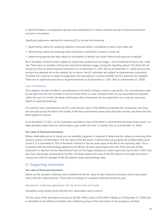in which the Bank's counterparties operate and consideration of various external sources of actual and forecast economic information.

Significant judgments required for measuring ECLs include the following:

- determining criteria for assessing whether a financial asset is considered to have a low credit risk
- determining criteria for assessing what constitutes a significant increase in credit risk
- determining appropriate data inputs for probability of default, loss given default and exposure at default

All of the Bank's financial assets subject to impairment assessments are Stage 1 and considered to have a low credit risk. There were no transfers of financial instruments between stages during the reporting period. The Bank did not record any ECLs on these financial instruments as at December 31, 2021 (\$nil as at December 31, 2020) because the amount was deemed not to be material. By its nature, the ECL estimates are subject to measurement uncertainty. The Bank will continue to review its judgments and assumptions to assess whether the ECL estimate has changed. There are no significant past due or impaired amounts as at December 31, 2021 (\$nil as at December 31, 2020).

### *Loan commitments*

This category includes the Bank's commitments to the Bank's foreign currency swap facility. For commitments made by the Bank that are not currently in use but where there is a clear indication that use can reasonably be expected within the next 12 months, the Bank would assess the commitment for any impairment on a case-by-case basis based on expected drawings.

For undrawn loan commitments, the ECL is the present value of the difference between the contractual cash flows that are paid out by the Bank if the holder of the loan commitment draws down the loan and the cash flows that the Bank expects to recover.

As at December 31, 2021, no ECL had been recorded as none of the Bank's commitments had been drawn upon, nor does the Bank expect that any will be drawn upon within the next 12 months (\$nil as at December 31, 2020).

### **Fair value of financial instruments**

Where observable prices or inputs are not available, judgment is required to determine fair values by assessing other relevant sources of information. The fair value of the BIS shares is determined using significant unobservable inputs (Level 3). It is estimated as 70% of the Bank's interest in the net asset value of the BIS at the reporting date. This is consistent with the methodology applied by the BIS for all share repurchases since the 1970s and was further endorsed in a decision by the International Court at The Hague relating to a share repurchase by the BIS in 2001 (the last share repurchase conducted by the BIS). The Bank expects the value of the BIS shares to fluctuate over time in conjunction with the strength of the BIS balance sheet and exchange rates.

### C) Supporting information

### **Fair value of financial instruments**

Below are the valuation methods used to determine the fair value of each financial instrument and its associated level in the fair value hierarchy. There were no changes to valuation methods during the year.

#### *Derivatives*—*indemnity agreements with the Government of Canada*

Calculated using market prices derived from observable inputs (Level 2)

The fair value of the derivatives amounts to \$6,394 million asset (a \$29 million liability as of December 31, 2020) and is calculated as the difference between the underlying prices of the instruments in the programs and their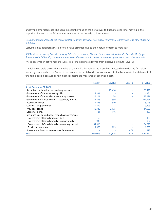underlying amortized cost. The Bank expects the value of the derivatives to fluctuate over time, moving in the opposite direction of the fair value movements of the underlying instruments.

### *Cash and foreign deposits, other receivables, deposits, securities sold under repurchase agreements and other financial liabilities*

Carrying amount (approximation to fair value assumed due to their nature or term to maturity)

### *SPRAs, Government of Canada treasury bills, Government of Canada bonds, real return bonds, Canada Mortgage Bonds, provincial bonds, corporate bonds, securities lent or sold under repurchase agreements and other securities*

Prices observed in active markets (Level 1), or market prices derived from observable inputs (Level 2)

The following table shows the fair value of the Bank's financial assets classified in accordance with the fair value hierarchy described above. Some of the balances in this table do not correspond to the balances in the statement of financial position because certain financial assets are measured at amortized cost.

|                                                     | Level 1 | Level 2 | Level 3                  | <b>Fair value</b> |
|-----------------------------------------------------|---------|---------|--------------------------|-------------------|
| As at December 31, 2021                             |         |         |                          |                   |
| Securities purchased under resale agreements        |         | 23,418  |                          | 23,418            |
| Government of Canada treasury bills                 | 1,331   |         |                          | 1,331             |
| Government of Canada bonds--primary market          | 128,201 | 28      |                          | 128,229           |
| Government of Canada bonds-secondary market         | 274,455 | 539     |                          | 274,994           |
| Real return bonds                                   | 4.225   | 800     |                          | 5,025             |
| Canada Mortgage Bonds                               | 9,299   | ٠       | $\overline{\phantom{a}}$ | 9,299             |
| Provincial bonds                                    | 12,348  | 2.175   |                          | 14,523            |
| Corporate bonds                                     | 21      | 146     |                          | 167               |
| Securities lent or sold under repurchase agreements |         |         |                          |                   |
| Government of Canada treasury bills                 | 163     |         |                          | 163               |
| Government of Canada bonds-primary market           | 932     |         |                          | 932               |
| Government of Canada bonds-secondary market         | 34,518  |         |                          | 34,518            |
| Provincial bonds lent                               | 1,586   | 269     |                          | 1,855             |
| Shares in the Bank for International Settlements    |         |         | 473                      | 473               |
| Total                                               | 467,079 | 27,375  | 473                      | 494,927           |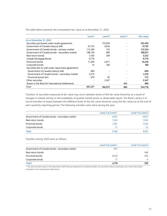The table below presents the comparative fair value as at December 31, 2020.

|                                                     | Level 1 | Level 2 | Level 3 | <b>Fair value</b> |
|-----------------------------------------------------|---------|---------|---------|-------------------|
| As at December 31, 2020                             |         |         |         |                   |
| Securities purchased under resale agreements        |         | 155,459 |         | 155,459           |
| Government of Canada treasury bills                 | 47,725  | 4,056   |         | 51,781            |
| Government of Canada bonds-primary market           | 113,189 | 135     |         | 113,324           |
| Government of Canada bonds-secondary market         | 198,138 | 699     |         | 198,837           |
| Real return bonds                                   | 3,183   | 349     |         | 3,532             |
| Canada Mortgage Bonds                               | 9.776   |         |         | 9,776             |
| Provincial bonds                                    | 11,549  | 2.671   |         | 14,220            |
| Corporate bonds                                     | 14      | 166     |         | 180               |
| Securities lent or sold under repurchase agreements |         |         |         |                   |
| Government of Canada treasury bills                 | 694     |         |         | 694               |
| Government of Canada bonds-secondary market         | 2,310   |         |         | 2,310             |
| Provincial bonds lent                               | 679     | 93      |         | 772               |
| Other securities                                    |         | 3,347   |         | 3,347             |
| Shares in the Bank for International Settlements    |         |         | 486     | 486               |
| Total                                               | 387,257 | 166,975 | 486     | 554,718           |

Transfers of securities measured at fair value may occur between levels of the fair value hierarchy as a result of changes in market activity or the availability of quoted market prices or observable inputs. The Bank's policy is to record transfers of assets between the different levels of the fair value hierarchy using the fair values as at the end of each quarterly reporting period. The following transfers were done during the year:

|                                             | Level 2 to Level 1 | Level 1 to Level 2 |
|---------------------------------------------|--------------------|--------------------|
| Government of Canada bonds-secondary market | 4,952              | 4,852              |
| Real return bonds                           | 1,260              | 1,838              |
| Provincial bonds                            | 1,481              | 1,428              |
| Corporate bonds                             | 31                 | 33                 |
| <b>Total</b>                                | 7.724              | 8,151              |

Transfers during 2020 were as follows:

|                                             | Level 2 to Level 1 | Level 1 to Level 2 |
|---------------------------------------------|--------------------|--------------------|
| Government of Canada bonds—secondary market | 477                |                    |
| Real return bonds                           | -                  | 348                |
| Provincial bonds                            | 4,224              | 356                |
| Corporate bonds                             | 17                 |                    |
| Total*                                      | 4,718              | 708                |

\* The level transfer totals in the December 2020 financial statements included transfers for securities held at amortized cost, which have been excluded in the comparative table above.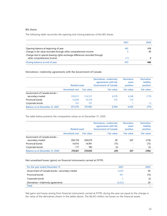#### **BIS shares**

The following table reconciles the opening and closing balances of the BIS shares.

|                                                                            | 2021 | 2020 |
|----------------------------------------------------------------------------|------|------|
| Opening balance at beginning of year                                       | 486  | 438  |
| Change in fair value recorded through other comprehensive income           | 4    | 40   |
| Change due to special drawing rights exchange differences recorded through |      |      |
| other comprehensive income                                                 | (17) |      |
| Closing balance at end of year                                             | 473  | 486  |

**Derivatives—indemnity agreements with the Government of Canada**

|                                 | <b>Related asset</b>  |                   | Derivatives-indemnity<br>agreements with the<br><b>Government of Canada</b> | <b>Derivative</b><br>asset<br>position | <b>Derivative</b><br>liability<br>position |
|---------------------------------|-----------------------|-------------------|-----------------------------------------------------------------------------|----------------------------------------|--------------------------------------------|
|                                 | <b>Amortized cost</b> | <b>Fair value</b> | <b>Fair value</b>                                                           | <b>Fair value</b>                      | <b>Fair value</b>                          |
| Government of Canada bonds-     |                       |                   |                                                                             |                                        |                                            |
| secondary market                | 320,615               | 314,537           | 6,078                                                                       | 6.248                                  | (170)                                      |
| Provincial bonds                | 16,694                | 16,378            | 316                                                                         | 316                                    |                                            |
| Corporate bonds                 | 167                   | 167               | ٠                                                                           |                                        |                                            |
| Balance as at December 31, 2021 | 337,476               | 331,082           | 6.394                                                                       | 6,565                                  | (171)                                      |

The table below presents the comparative values as at December 31, 2020.

|                                 |                       |                   | Derivatives-indemnity<br>agreements with the | <b>Derivative</b><br>asset | <b>Derivative</b><br>liability |
|---------------------------------|-----------------------|-------------------|----------------------------------------------|----------------------------|--------------------------------|
|                                 | <b>Related asset</b>  |                   | <b>Government of Canada</b>                  | position                   | position                       |
|                                 | <b>Amortized cost</b> | <b>Fair value</b> | <b>Fair value</b>                            | <b>Fair value</b>          | <b>Fair value</b>              |
| Government of Canada bonds-     |                       |                   |                                              |                            |                                |
| secondary market                | 204,728               | 204,679           | 49                                           | 367                        | (318)                          |
| Provincial bonds                | 14,916                | 14,991            | (75)                                         |                            | (75)                           |
| Corporate bonds                 | 177                   | 180               | (3)                                          |                            | (3)                            |
| Balance as at December 31, 2020 | 219,821               | 219,850           | (29)                                         | 367                        | (396)                          |

**Net unrealized losses (gains) on financial instruments carried at FVTPL**

| For the year ended December 31              | 2021    | 2020 |
|---------------------------------------------|---------|------|
| Government of Canada bonds-secondary market | 6.029   | 49   |
| <b>Provincial bonds</b>                     | 391     | (75) |
| Corporate bonds                             |         | (3)  |
| Derivatives-indemnity agreements            | (6,423) | 29   |
| <b>Total</b>                                |         |      |

Net gains and losses arising from financial instruments carried at FVTPL during the year are equal to the change in fair value of the derivatives shown in the tables above. The \$6,423 million net losses on the financial assets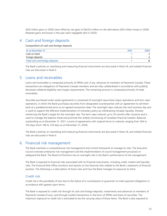(\$29 million gains in 2020) were offset by net gains of \$6,423 million on the derivatives (\$29 million losses in 2020). Realized gains and losses in the year were negligible (\$nil in 2020).

### 4. Cash and foreign deposits

**Composition of cash and foreign deposits**

| As at December 31               | 2021 | 2020 |
|---------------------------------|------|------|
| Cash on hand                    |      |      |
| Foreign deposits                |      |      |
| Total cash and foreign deposits |      |      |

The Bank's policies on classifying and measuring financial instruments are discussed in Note 3A, and related financial risks are discussed in Note 6.

### 5. Loans and receivables

*Loans and receivables* is composed primarily of SPRAs and, if any, advances to members of Payments Canada. These transactions are obligations of Payments Canada members and are fully collateralized in accordance with publicly disclosed collateral eligibility and margin requirements. The remaining amount is composed primarily of trade receivables.

*Securities purchased under resale agreements* is composed of overnight repurchase (repo) operations and term repo operations, in which the Bank purchases securities from designated counterparties with an agreement to sell them back at a predetermined price on an agreed transaction date. The overnight repo matures the next business day and is used to support the effective implementation of monetary policy by withdrawing intraday liquidity, thereby reinforcing the Bank's target for the overnight rate. The term repo matures up to 24 months after issuance and is used to manage the balance sheet and promote the orderly functioning of Canadian financial markets. Balances outstanding as at December 31, 2021, consist of agreements with original terms to maturity ranging from 364 to 724 days (from 168 to 724 days as at December 31, 2020).

The Bank's policies on classifying and measuring financial instruments are discussed in Note 3A, and related financial risks are discussed in Note 6.

### 6. Financial risk management

The Bank maintains a comprehensive risk management and control framework to manage its risks. The Executive Council oversees enterprise risk management and the implementation of sound management processes to safeguard the Bank. The Board of Directors has an oversight role in the Bank's performance of risk management.

The Bank is exposed to financial risks associated with its financial instruments, including credit, market and liquidity risks. The Financial Risk Office monitors and reports on the financial risks related to the Bank's statement of financial position. The following is a description of those risks and how the Bank manages its exposure to them.

### Credit risk

Credit risk is the possibility of loss due to the failure of a counterparty or guarantor to meet payment obligations in accordance with agreed-upon terms.

The Bank is exposed to credit risk through its cash and foreign deposits, investments and advances to members of Payments Canada (if any), and through market transactions in the form of SPRAs and loans of securities. The maximum exposure to credit risk is estimated to be the carrying value of those items. The Bank is also exposed to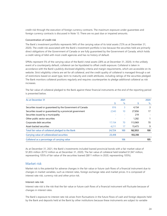credit risk through the execution of foreign currency contracts. The maximum exposure under guarantees and foreign currency contracts is discussed in Note 13. There are no past due or impaired amounts.

### **Concentration of credit risk**

The Bank's investment portfolio represents 94% of the carrying value of its total assets (72% as at December 31, 2020). The credit risk associated with the Bank's investment portfolio is low because the securities held are primarily direct obligations of the Government of Canada or are fully guaranteed by the Government of Canada, which holds a credit rating of AAA with most credit agencies and has no history of default.

SPRAs represent 5% of the carrying value of the Bank's total assets (28% as at December 31, 2020). In the unlikely event of a counterparty default, collateral can be liquidated to offset credit exposure. Collateral is taken in accordance with the Bank's publicly disclosed eligibility criteria and margin requirements, which are accessible on its website. Strict eligibility criteria are set for all collateral, and the credit quality of collateral is managed through a set of restrictions based on asset type, term to maturity and credit attributes, including ratings of the securities pledged. The Bank monitors collateral positions regularly and requires counterparties to pledge additional collateral as risk increases.

| As at December 31                                           |        | 2021 |         | 2020 |  |
|-------------------------------------------------------------|--------|------|---------|------|--|
|                                                             |        | $\%$ |         | %    |  |
| Securities issued or quaranteed by the Government of Canada | 816    | 3    | 4.154   | 3    |  |
| Securities issued or quaranteed by a provincial government  | 2,543  | 10   | 27,856  | 17   |  |
| Securities issued by a municipality                         |        |      | 219     |      |  |
| Other public sector securities                              |        |      | 1,282   |      |  |
| Corporate debt securities                                   | 17.154 | 70   | 113,969 | 70   |  |
| Asset-backed securities                                     | 4,211  | 17   | 15,473  | 9    |  |
| Total fair value of collateral pledged to the Bank          | 24,724 | 100  | 162,953 | 100  |  |
| Carrying value of collateralized securities                 | 23,418 |      | 155,318 |      |  |
| Collateral as a percentage of carrying value                |        | 106  |         | 105  |  |

The fair value of collateral pledged to the Bank against these financial instruments at the end of the reporting period is presented below.

As at December 31, 2021, the Bank's investments included loaned provincial bonds with a fair market value of \$1,855 million (\$772 million as at December 31, 2020). The fair value of collateral held totalled \$1,947 million, representing 105% of fair value of the securities loaned (\$811 million in 2020, representing 105%).

### Market risk

Market risk is the potential for adverse changes in the fair value or future cash flows of a financial instrument due to changes in market variables, such as interest rates, foreign exchange rates and market prices. It is composed of interest rate risk, currency risk and other price risk.

### **Interest rate risk**

Interest rate risk is the risk that the fair value or future cash flows of a financial instrument will fluctuate because of changes in interest rates.

The Bank's exposure to interest rate risk arises from fluctuations in the future flows of cash and foreign deposits held by the Bank and deposits held at the Bank by other institutions because these instruments are subject to variable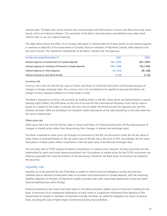interest rates. The Bank also carries interest rate risk associated with fluctuations in future cash flows from real return bonds, which are linked to inflation. The remainder of the Bank's financial assets and liabilities have either fixed interest rates or are non-interest-bearing.

The table below shows the effect of an increase (decrease) in interest rates of 25 basis points on the interest expense or revenue on deposits of the Government of Canada, those of members of Payments Canada, other deposits and real return bonds. This represents substantially all the Bank's interest rate risk exposure.

| For the year ended December 31                          | 2021        | 2020        |
|---------------------------------------------------------|-------------|-------------|
| Interest expense on Government of Canada deposits       | 162 / (162) | 227 / (227) |
| Interest expense on members of Payments Canada deposits | 749 / (749) | 513 / (513) |
| Interest expense on other deposits                      | 24 / (24)   | 20 / (20)   |
| Interest revenue on real return bonds                   | 9/ (9)      | 3/(3)       |

### **Currency risk**

Currency risk is the risk that the fair value or future cash flows of a financial instrument will fluctuate because of changes in foreign exchange rates. The currency risk is not considered to be significant because the Bank's net foreign currency exposure relative to its total assets is small.

The Bank is exposed to currency risk primarily by holding shares in the BIS. These shares are denominated in special drawing rights (SDRs). The SDR serves as the unit of account for the International Monetary Fund, and its value is based on a basket of five major currencies: the euro, the US dollar, the British pound, the Japanese yen and the Chinese renminbi. SDRs are translated into Canadian-dollar equivalents at the rates prevailing on the date when the fair value is determined.

#### **Other price risk**

Other price risk is the risk that the fair value or future cash flows of a financial instrument will fluctuate because of changes in market prices (other than those arising from changes in interest and exchange rates).

The Bank is exposed to other price risk through its investment in the BIS. As discussed in Note 3B, the fair value of these shares is estimated based on the net asset value of the BIS, less a discount of 30%. Accordingly, the fair value fluctuations of these shares reflect movements in the net asset value of the BIS and exchange rates.

The securities held at FVTPL expose the Bank to fluctuations in market prices. However, all these securities are fully indemnified for gains and losses beyond amortized cost. Fluctuations in market prices for the FVTPL instruments are offset by equivalent fair value fluctuations of the derivatives. Therefore, the Bank bears no net price risk related to the securities.

### Liquidity risk

Liquidity risk is the potential for loss if the Bank is unable to meet its financial obligations as they become due. Liabilities due on demand include bank notes in circulation and Government of Canada deposits, with the remaining liabilities (deposits of members of Payments Canada, securities sold under repurchase agreements [if any] and other financial liabilities) due within 90 days.

Historical experience has shown that bank notes in circulation provide a stable source of long-term funding for the Bank. In the event of an unexpected redemption of bank notes or a significant withdrawal from deposits of the Government of Canada or members of Payments Canada, the Bank can settle the obligation by means of several tools, including the sale of highly liquid investments backing those liabilities.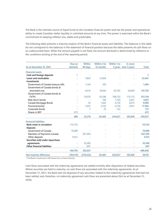The Bank is the ultimate source of liquid funds to the Canadian financial system and has the power and operational ability to create Canadian-dollar liquidity in unlimited amounts at any time. This power is exercised within the Bank's commitment to keeping inflation low, stable and predictable.

The following table presents a maturity analysis of the Bank's financial assets and liabilities. The balances in this table do not correspond to the balances in the statement of financial position because the table presents all cash flows on an undiscounted basis. When the amount payable is not fixed, the amount disclosed is determined by reference to the conditions existing at the end of the reporting period.

|                                     | Due on     | Within     | Within 4 to | <b>Within 1 to</b> | In more              |              |
|-------------------------------------|------------|------------|-------------|--------------------|----------------------|--------------|
| As at December 31, 2021             | demand     | 90 days    | 12 months   |                    | 5 years than 5 years | <b>Total</b> |
| <b>Financial assets</b>             |            |            |             |                    |                      |              |
| Cash and foreign deposits           | 7          |            |             |                    |                      | 7            |
| Loans and receivables               |            | 7,843      | 15,604      |                    |                      | 23,447       |
| Investments                         |            |            |             |                    |                      |              |
| Government of Canada treasury bills |            | 1,144      | 350         |                    |                      | 1,494        |
| Government of Canada bonds at       |            |            |             |                    |                      |              |
| amortized cost                      |            | 4,516      | 18,583      | 63,792             | 54,859               | 141,750      |
| Government of Canada bonds at       |            |            |             |                    |                      |              |
| <b>FVTPL</b>                        |            | 10,076     | 43,248      | 168,723            | 115,112              | 337,159      |
| Real return bonds                   |            |            | 100         | 1,120              | 3,631                | 4,851        |
| Canada Mortgage Bonds               |            | 32         | 1,463       | 4,130              | 4,275                | 9,900        |
| Provincial bonds                    |            | 1,601      | 3,102       | 6,730              | 5,951                | 17,384       |
| Corporate bonds                     |            | 7          | 33          | 132                |                      | 172          |
| Shares in BIS*                      | 473        |            |             |                    |                      | 473          |
|                                     | 480        | 25,219     | 82,483      | 244,627            | 183,828              | 536,637      |
| <b>Financial liabilities</b>        |            |            |             |                    |                      |              |
| <b>Bank notes in circulation</b>    | 115,155    |            |             |                    |                      | 115,155      |
| Deposits                            |            |            |             |                    |                      |              |
| Government of Canada                | 70,089     |            |             |                    |                      | 70,089       |
| Members of Payments Canada          |            | 267,394    |             |                    |                      | 267,394      |
| Other deposits                      | 9,551      |            |             |                    |                      | 9,551        |
| Securities sold under repurchase    |            |            |             |                    |                      |              |
| agreements                          |            | 35,560     |             |                    |                      | 35,560       |
| <b>Other financial liabilities</b>  |            | 697        |             |                    |                      | 697          |
|                                     | 194,795    | 303,651    |             |                    |                      | 498,446      |
| <b>Net maturity difference</b>      | (194, 315) | (278, 432) | 82,483      | 244,627            | 183,828              | 38,191       |

\* The Bank's investment in BIS shares has no fixed maturity.

Cash flows associated with the indemnity agreements are settled monthly after disposition of related securities. Where securities are held to maturity, no cash flows are associated with the indemnity agreements. As at December 31, 2021, the Bank had not disposed of any securities related to the indemnity agreements that had not been settled, and, therefore, no indemnity agreement cash flows are presented above (\$nil as at December 31, 2020).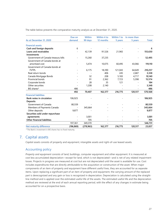The table below presents the comparative maturity analysis as at December 31, 2020.

|                                     | Due on     | <b>Within</b> | Within 4 to              | Within 1 to | In more than             |              |
|-------------------------------------|------------|---------------|--------------------------|-------------|--------------------------|--------------|
| As at December 31, 2020             | demand     | 90 days       | 12 months                | 5 years     | 5 years                  | <b>Total</b> |
| <b>Financial assets</b>             |            |               |                          |             |                          |              |
| Cash and foreign deposits           | 6          |               |                          |             |                          | 6            |
| Loans and receivables               |            | 42,139        | 91,526                   | 21,965      |                          | 155,630      |
| Investments                         |            |               |                          |             |                          |              |
| Government of Canada treasury bills |            | 15,260        | 37,235                   |             |                          | 52,495       |
| Government of Canada bonds at       |            |               |                          |             |                          |              |
| amortized cost                      |            | 5,474         | 10,075                   | 60,495      | 43,066                   | 119,110      |
| Government of Canada bonds at       |            |               |                          |             |                          |              |
| <b>FVTPL</b>                        |            | 6,175         | 18,390                   | 121,043     | 64,649                   | 210,257      |
| Real return bonds                   |            |               | 406                      | 245         | 2,687                    | 3,338        |
| Canada Mortgage Bonds               |            | 32            | 208                      | 5,183       | 4,717                    | 10.140       |
| Provincial bonds                    |            | 91            | 2,362                    | 7,723       | 5,398                    | 15,574       |
| Corporate bonds                     |            | 28            | 35                       | 121         |                          | 184          |
| Other securities                    |            | 1,208         | 2,140                    |             |                          | 3,348        |
| BIS shares*                         | 486        |               |                          |             |                          | 486          |
|                                     | 492        | 70,407        | 162,377                  | 216,775     | 120,517                  | 570,568      |
| <b>Financial liabilities</b>        |            |               |                          |             |                          |              |
| Bank notes in circulation           | 106,925    |               |                          |             |                          | 106,925      |
| <b>Deposits</b>                     |            |               |                          |             |                          |              |
| Government of Canada                | 80,559     |               |                          |             |                          | 80,559       |
| Members of Payments Canada          |            | 345,664       |                          |             |                          | 345,664      |
| Other deposits                      | 9,877      |               |                          |             |                          | 9,877        |
| Securities sold under repurchase    |            |               |                          |             |                          |              |
| agreements                          |            | 3,001         |                          |             |                          | 3,001        |
| <b>Other financial liabilities</b>  |            | 705           |                          |             |                          | 705          |
|                                     | 197,361    | 349,370       | $\overline{\phantom{a}}$ |             | $\overline{\phantom{a}}$ | 546,731      |
| <b>Net maturity difference</b>      | (196, 869) | (278, 963)    | 162,377                  | 216,775     | 120,517                  | 23,837       |
|                                     |            |               |                          |             |                          |              |

\* The Bank's investment in BIS shares has no fixed maturity.

### 7. Capital assets

*Capital assets* consists of property and equipment, intangible assets and right-of-use leased assets.

### Accounting policy

*Property and equipment* consists of land, buildings, computer equipment and other equipment. It is measured at cost less accumulated depreciation—except for land, which is not depreciated—and is net of any related impairment losses. Projects in progress are measured at cost but are not depreciated until the asset is available for use. Cost includes expenditures that are directly attributable to the acquisition or construction of the asset. When major components of an item of property and equipment have different useful lives, they are accounted for as separate items. Upon replacing a significant part of an item of property and equipment, the carrying amount of the replaced part is derecognized and any gain or loss is recognized in depreciation. Depreciation is calculated using the straightline method and is applied over the estimated useful life of the assets. The estimated useful life and the depreciation method are reviewed at the end of each annual reporting period, with the effect of any changes in estimate being accounted for on a prospective basis.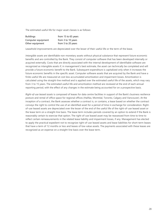The estimated useful life for major asset classes is as follows:

| <b>Buildings</b>   | from 15 to 65 years |
|--------------------|---------------------|
| Computer equipment | from 3 to 10 years  |
| Other equipment    | from 5 to 20 years  |

Leasehold improvements are depreciated over the lesser of their useful life or the term of the lease.

*Intangible assets* are identifiable non-monetary assets without physical substance that represent future economic benefits and are controlled by the Bank. They consist of computer software that has been developed internally or acquired externally. Costs that are directly associated with the internal development of identifiable software are recognized as intangible assets if, in management's best estimate, the asset can technically be completed and will provide a future economic benefit to the Bank. Subsequent expenditure is capitalized only when it increases the future economic benefits in the specific asset. Computer software assets that are acquired by the Bank and have a finite useful life are measured at cost less accumulated amortization and impairment losses. Amortization is calculated using the straight-line method and is applied over the estimated useful life of the assets, which may vary from 3 to 15 years. The estimated useful life and amortization method are reviewed at the end of each annual reporting period, with the effect of any changes in the estimate being accounted for on a prospective basis.

*Right-of-use leased assets* is composed of leases for data centre facilities in support of the Bank's business resilience posture and rental of office space for regional offices (Halifax, Montréal, Toronto, Calgary and Vancouver). At the inception of a contract, the Bank assesses whether a contract is, or contains, a lease based on whether the contract conveys the right to control the use of an identified asset for a period of time in exchange for consideration. Rightof-use leased assets are depreciated over the lesser of the end of the useful life of the right-of-use leased asset or the lease term on a straight-line basis. The lease term includes periods covered by an option to extend if the Bank is reasonably certain to exercise that option. The right-of-use leased asset may be reassessed from time to time to reflect certain remeasurements in the related lease liability and impairment losses, if any. Management has elected to apply the practical expedient not to recognize right-of-use leased assets and lease liabilities for short-term leases that have a term of 12 months or less and leases of low-value assets. The payments associated with these leases are recognized as an expense on a straight-line basis over the lease term.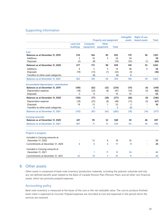### Supporting information

|                                                |                          |                |                               |                | Intangible | <b>Right-of-use</b>      |                |
|------------------------------------------------|--------------------------|----------------|-------------------------------|----------------|------------|--------------------------|----------------|
|                                                |                          |                | <b>Property and equipment</b> |                | assets     | leased assets            | <b>Total</b>   |
|                                                | <b>Land and</b>          | Computer       | Other                         |                |            |                          |                |
|                                                | buildings                | equipment      | equipment                     | <b>Total</b>   |            |                          |                |
| Cost                                           |                          |                |                               |                |            |                          |                |
| Balances as at December 31, 2019               | 576                      | 164            | 85                            | 825            | 170        | 56                       | 1,051          |
| Additions                                      | 3                        | 16             | 5                             | 24             | 34         |                          | 58             |
| Disposals                                      | (2)                      | (8)            | $\overline{\phantom{a}}$      | (10)           | (55)       | (1)                      | (66)           |
| Balances as at December 31, 2020               | 577                      | 172            | 90                            | 839            | 149        | 55                       | 1,043          |
| Additions                                      | $\overline{4}$           | 5              | 5                             | 14             | 38         | 4                        | 56             |
| Disposals                                      | (19)                     | (13)           | (1)                           | (33)           | (3)        | $\sim$                   | (36)           |
| Transfers to other asset categories            |                          | (6)            | $\overline{\phantom{a}}$      | (6)            | 6          |                          |                |
| Balances as at December 31, 2021               | 562                      | 158            | 94                            | 814            | 190        | 59                       | 1,063          |
| <b>Accumulated depreciation / amortization</b> |                          |                |                               |                |            |                          |                |
| Balances as at December 31, 2019               | (140)                    | (62)           | (32)                          | (234)          | (111)      | (4)                      | (349)          |
| Depreciation expense                           | (18)                     | (23)           | (6)                           | (47)           | (10)       | (5)                      | (62)           |
| Disposals                                      | 2                        | 8              | $\overline{a}$                | 10             | 55         |                          | 65             |
| Balances as at December 31, 2020               | (156)                    | (77)           | (38)                          | (271)          | (66)       | (9)                      | (346)          |
| Depreciation expense                           | (18)                     | (25)           | (6)                           | (49)           | (13)       | (5)                      | (67)           |
| Disposals                                      | 19                       | 13             | 1                             | 33             | 3          |                          | 36             |
| Transfers to other asset categories            | $\overline{\phantom{a}}$ | $\overline{c}$ | $\overline{\phantom{a}}$      | $\overline{c}$ | (2)        | $\overline{\phantom{a}}$ | $\blacksquare$ |
| Balances as at December 31, 2021               | (155)                    | (87)           | (43)                          | (285)          | (78)       | (14)                     | (377)          |
| <b>Carrying amounts</b>                        |                          |                |                               |                |            |                          |                |
| Balances as at December 31, 2020               | 421                      | 95             | 52                            | 568            | 83         | 46                       | 697            |
| <b>Balances as at December 31, 2021</b>        | 407                      | 71             | 51                            | 529            | 112        | 45                       | 686            |
| Projects in progress                           |                          |                |                               |                |            |                          |                |
| Included in Carrying amounts at                |                          |                |                               |                |            |                          |                |
| December 31, 2020                              |                          | 12             | 6                             | 18             | 35         |                          | 53             |
| Commitments at December 31, 2020               | 3                        | 5              | 3                             | 11             | 9          |                          | 20             |
| Included in Carrying amounts at                |                          |                |                               |                |            |                          |                |
| December 31, 2021                              |                          | 1              | 11                            | 12             | 34         |                          | 46             |
| Commitments at December 31, 2021               | 22                       | 10             | 3                             | 35             | 11         |                          | 46             |

### 8. Other assets

*Other assets* is composed of bank note inventory (production materials, including the polymer substrate and ink); any net defined-benefit asset related to the Bank of Canada Pension Plan (Pension Plan); and all other non-financial assets, which are primarily prepaid expenses.

### Accounting policy

Bank note inventory is measured at the lesser of the cost or the net realizable value. The cost to produce finished bank notes is expensed as incurred. Prepaid expenses are recorded at cost and expensed in the period which the services are received.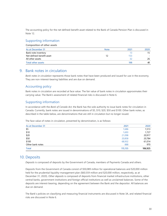The accounting policy for the net defined-benefit asset related to the Bank of Canada Pension Plan is discussed in Note 12.

### Supporting information

#### **Composition of other assets**

| <b>Note</b> | 2021 | 2020 |
|-------------|------|------|
|             |      | 15   |
|             | 153  |      |
|             |      | 26   |
|             | 198  | 41   |
|             |      |      |

### 9. Bank notes in circulation

*Bank notes in circulation* represents those bank notes that have been produced and issued for use in the economy. They are non-interest-bearing liabilities and are due on demand.

### Accounting policy

Bank notes in circulation are recorded at face value. The fair value of bank notes in circulation approximates their carrying value. The Bank's assessment of related financial risks is discussed in Note 6.

### Supporting information

In accordance with the *Bank of Canada Act*, the Bank has the sole authority to issue bank notes for circulation in Canada. Currently, bank notes are issued in denominations of \$5, \$10, \$20, \$50 and \$100. Other bank notes, as described in the table below, are denominations that are still in circulation but no longer issued.

The face value of notes in circulation, presented by denomination, is as follows:

| As at December 31 | 2021    | 2020    |
|-------------------|---------|---------|
| \$5               | 1,686   | 1,513   |
| \$10              | 1,693   | 1,727   |
| \$20              | 21,098  | 20,917  |
| \$50              | 20,858  | 20,784  |
| \$100             | 68,932  | 61,014  |
| Other bank notes  | 888     | 970     |
| <b>Total</b>      | 115,155 | 106,925 |

### 10. Deposits

*Deposits* is composed of deposits by the Government of Canada, members of Payments Canada and others.

Deposits from the Government of Canada consist of \$50,089 million for operational balances and \$20,000 million held for the prudential liquidity-management plan (\$60,559 million and \$20,000 million, respectively, as at December 31, 2020). *Other deposits* is composed of deposits from financial market infrastructure institutions, other central banks, government institutions and foreign official institutions as well as unclaimed balances. Some of the deposits are interest-bearing, depending on the agreement between the Bank and the depositor. All balances are due on demand.

The Bank's policies on classifying and measuring financial instruments are discussed in Note 3A, and related financial risks are discussed in Note 6.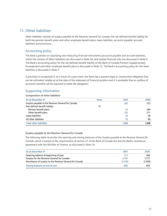### 11. Other liabilities

*Other liabilities* consists of surplus payable to the Receiver General for Canada, the net defined-benefit liability for both the pension benefit plans and other employee benefit plans, lease liabilities, accounts payable, accrued liabilities and provisions.

### Accounting policy

The Bank's policies on classifying and measuring financial instruments (accounts payable and accrued liabilities, within the context of *Other liabilities*) are discussed in Note 3A, and related financial risks are discussed in Note 6. The Bank's accounting policy for the net defined-benefit liability of the Bank of Canada Pension Supplementary Arrangement and other employee benefit plans is discussed in Note 12. The Bank's accounting policy for the lease liabilities is discussed in Note 7.

A provision is recognized if, as a result of a past event, the Bank has a present legal or constructive obligation that can be estimated reliably as at the date of the statement of financial position and it is probable that an outflow of economic benefits will be required to settle the obligation.

### Supporting information

### **Composition of other liabilities**

| As at December 31                                  | <b>Note</b> | 2021  | 2020  |
|----------------------------------------------------|-------------|-------|-------|
| Surplus payable to the Receiver General for Canada |             | 605   | 573   |
| Net defined-benefit liability                      | 12          |       |       |
| Pension benefit plans                              |             | 62    | 284   |
| Other benefit plans                                |             | 203   | 211   |
| Lease liabilities                                  |             | 46    | 46    |
| All other liabilities                              |             | 92    | 86    |
| <b>Total other liabilities</b>                     |             | 1.008 | 1.200 |

### **Surplus payable to the Receiver General for Canada**

The following table reconciles the opening and closing balances of the *Surplus payable to the Receiver General for Canada*, which is based on the requirements of section 27 of the *Bank of Canada Act* and the Bank's remittance agreement with the Minister of Finance, as discussed in Note 14.

| As at December 31                                        | 2021    | 2020    |
|----------------------------------------------------------|---------|---------|
| Opening balance at beginning of year                     | 573     | 368     |
| Surplus for the Receiver General for Canada              | 2.780   | 1,773   |
| Remittance of surplus to the Receiver General for Canada | (2.748) | (1,568) |
| Closing balance at end of year                           | 605     | 573     |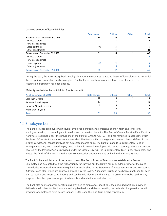**Carrying amount of lease liabilities**

|                                  | Data centres | <b>Offices</b> | <b>Other</b> | <b>Total</b> |
|----------------------------------|--------------|----------------|--------------|--------------|
| Balances as at December 31, 2019 | 34           | 16             |              | 51           |
| Finance charges                  |              |                |              |              |
| New lease liabilities            |              |                |              |              |
| Lease payments                   | (4)          | (1)            |              | (5)          |
| Other adjustments                |              | (T)            |              | (1)          |
| Balance as at December 31, 2020  | 31           | 14             |              | 46           |
| Finance charges                  |              |                |              |              |
| New lease liabilities            |              |                |              |              |
| Lease payments                   | (4)          |                |              | (5)          |
| Other adjustments                |              |                |              |              |
| Balance as at December 31, 2021  | 28           | 17             |              | 46           |

During the year, the Bank recognized a negligible amount in expenses related to leases of low-value assets for which the recognition exemption has been applied. The Bank does not have any short-term leases for which the recognition exemption has been applied.

#### **Maturity analysis for lease liabilities (undiscounted)**

| As at December 31, 2021 | Data centres             | <b>Offices</b> | Other | Total |
|-------------------------|--------------------------|----------------|-------|-------|
| Less than 5 years       |                          |                |       | 23    |
| Between 5 and 10 years  |                          |                |       | 19    |
| Between 10 and 15 years |                          |                |       |       |
| More than 15 years      | $\overline{\phantom{a}}$ |                |       |       |
| <b>Total</b>            |                          |                |       |       |

### 12. Employee benefits

The Bank provides employees with several employee benefit plans, consisting of short-term and long-term employee benefits, post-employment benefits and termination benefits. The Bank of Canada Pension Plan (Pension Plan) was established under the provisions of the *Bank of Canada Act*, 1934, and has remained in accordance with the *Bank of Canada Act* as subsequently amended. The Pension Plan is a registered pension plan as defined in the *Income Tax Act* and, consequently, is not subject to income taxes. The Bank of Canada Supplementary Pension Arrangement (SPA) was created to pay pension benefits to Bank employees with annual earnings above the amount covered by the Pension Plan, as provided under the *Income Tax Act*. The Supplementary Trust Fund, which holds and invests the funds of the SPA, is a retirement compensation arrangement as defined in the *Income Tax Act*.

The Bank is the administrator of the pension plans. The Bank's Board of Directors has established a Pension Committee and delegated to it the responsibility for carrying out the Bank's duties as administrator of the plans. These duties include adherence to the guidelines established in the Statement of Investment Policy and Procedures (SIPP) for each plan, which are approved annually by the Board. A separate trust fund has been established for each plan to receive and invest contributions and pay benefits due under the plans. The assets cannot be used for any purpose other than payment of pension benefits and related administration fees.

The Bank also sponsors other benefit plans provided to employees, specifically the unfunded post-employment defined-benefit plans for life insurance and eligible health and dental benefits, the unfunded long-service benefit program for employees hired before January 1, 2003, and the long-term disability program.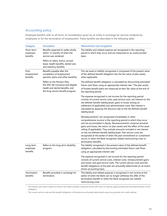### Accounting policy

Employee benefits refer to all forms of consideration given by an entity in exchange for services rendered by employees or for the termination of employment. These benefits are described in the following table.

| Category                           | <b>Description</b>                                                                                                                          | <b>Measurement and recognition</b>                                                                                                                                                                                                                                                                                                                                                                                                                                                                                                                                                                      |
|------------------------------------|---------------------------------------------------------------------------------------------------------------------------------------------|---------------------------------------------------------------------------------------------------------------------------------------------------------------------------------------------------------------------------------------------------------------------------------------------------------------------------------------------------------------------------------------------------------------------------------------------------------------------------------------------------------------------------------------------------------------------------------------------------------|
| Short-term<br>employee<br>benefits | Benefits expected to settle wholly<br>within 12 months of when the<br>service was rendered.                                                 | The liability and related expense are recognized in the reporting<br>period in which they occur and are measured on an undiscounted<br>basis.                                                                                                                                                                                                                                                                                                                                                                                                                                                           |
|                                    | Refers to salary, bonus, annual<br>leave, health benefits, dental care<br>and statutory benefits.                                           |                                                                                                                                                                                                                                                                                                                                                                                                                                                                                                                                                                                                         |
| Post-<br>employment<br>benefits    | Benefits payable after the<br>completion of employment<br>(pension plans and other benefits).                                               | The net asset or liability recognized is composed of the present value<br>of the defined-benefit obligation less the fair value of plan assets,<br>when applicable.                                                                                                                                                                                                                                                                                                                                                                                                                                     |
|                                    | Refers to the Pension Plan,<br>the SPA, life insurance and eligible<br>health and dental benefits, and<br>the long-service benefit program. | The defined-benefit obligation is calculated by discounting estimated<br>future cash flows using an appropriate interest rate.* The plan assets<br>of funded benefit plans are measured at their fair value at the end of<br>the reporting period.                                                                                                                                                                                                                                                                                                                                                      |
|                                    |                                                                                                                                             | The expense recognized in net income for the reporting period<br>consists of current service costs, past service costs, net interest on the<br>net defined-benefit liability/asset, gains or losses arising on<br>settlement (if applicable) and administrative costs. Net interest is<br>calculated by applying the discount rate to the net defined-benefit<br>liability/asset.                                                                                                                                                                                                                       |
|                                    |                                                                                                                                             | Remeasurements <sup>†</sup> are recognized immediately in other<br>comprehensive income in the reporting period in which they occur<br>and are accumulated in Equity. Remeasurements comprise actuarial<br>gains and losses, the return on plan assets and the effect of the asset<br>ceiling (if applicable). They exclude amounts included in net interest<br>on the net defined-benefit liability/asset. Past service costs are<br>recognized at the earlier of when the plan amendment or curtailment<br>occurs or when the Bank recognizes related restructuring costs or<br>termination benefits. |
| Long-term<br>employee<br>benefits  | Refers to the long-term disability<br>program.                                                                                              | The liability recognized is the present value of the defined-benefit<br>obligation, calculated by discounting estimated future cash flows<br>using an appropriate interest rate.                                                                                                                                                                                                                                                                                                                                                                                                                        |
|                                    |                                                                                                                                             | The expense recognized in net income for the reporting period<br>consists of current service costs, interest costs, remeasurement gains<br>and losses, and past service costs. The current service costs and the<br>benefit obligations of the plan are actuarially determined on an event-<br>driven accounting basis.                                                                                                                                                                                                                                                                                 |
| Termination<br>benefits            | Benefits provided in exchange for<br>termination.                                                                                           | The liability and related expense is recognized in net income at the<br>earlier of when the Bank can no longer withdraw the offer of the<br>termination benefit or when the Bank recognizes any related<br>restructuring costs.                                                                                                                                                                                                                                                                                                                                                                         |

\* The interest rate used is based on those of AA-rated Canadian corporate bonds with terms to maturity approximating the estimated duration of the obligation.

† The current service costs and the benefit obligations of the plans are actuarially determined using the projected unit credit method.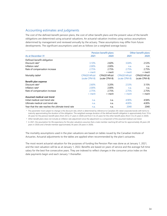### Accounting estimates and judgments

The cost of the defined-benefit pension plans, the cost of other benefit plans and the present value of the benefit obligations are determined using actuarial valuations. An actuarial valuation involves using various assumptions determined by management and reviewed annually by the actuary. These assumptions may differ from future developments. The significant assumptions used are as follows (on a weighted-average basis):

|                                                    |               | <b>Pension benefit plans</b> | Other benefit plans |               |
|----------------------------------------------------|---------------|------------------------------|---------------------|---------------|
| As at December 31                                  | 2021          | 2020                         | 2021                | 2020          |
| Defined-benefit obligation                         |               |                              |                     |               |
| Discount rate*                                     | 3.10%         | 2.60%                        | 3.04%               | 2.53%         |
| Inflation rate <sup>+</sup>                        | 2.00%         | 2.00%                        | n.a.                | n.a.          |
| Rate of compensation increase                      | 2.75%         | 2.75%                        | 2.75%               | 2.75%         |
|                                                    | + merit       | + merit                      | + merit             | + merit       |
| Mortality table <sup>#</sup>                       | CPM2014Publ   | CPM2014Publ                  | CPM2014Publ         | CPM2014Publ   |
|                                                    | (scale CPM-B) | (scale CPM-B)                | (scale CPM-B)       | (scale CPM-B) |
| Benefit plan expense                               |               |                              |                     |               |
| Discount rate*                                     | 2.60%         | 3.20%                        | 2.53%               | 3.15%         |
| Inflation rate <sup>+</sup>                        | 2.00%         | 2.00%                        | n.a.                | n.a.          |
| Rate of compensation increase                      | 2.75%         | 2.75%                        | 2.75%               | 2.75%         |
|                                                    | + merit       | + merit                      | + merit             | + merit       |
| Assumed medical cost trend                         |               |                              |                     |               |
| Initial medical cost trend rate                    | n.a.          | n.a.                         | 4.90%               | 4.94%         |
| Ultimate medical cost trend rate                   | n.a.          | n.a.                         | 4.00%               | 4.00%         |
| Year that the rate reaches the ultimate trend rate | n.a.          | n.a.                         | 2040                | 2040          |

\* The parameter most subject to change is the discount rate, which is determined by reference to Canadian AA-rated corporate bonds with terms to maturity approximating the duration of the obligation. The weighted-average duration of the defined-benefit obligation is approximately from 19 to 20 years for the pension benefit plans (from 20 to 21 years in 2020) and from 5 to 25 years for the other benefit plans (from 5 to 25 years in 2020).

† *Other benefit plans* does not include an inflation rate adjustment since the adjustment is a component of the assumed medical cost trend.

‡ In 2021, the assumption for life expectancy for the plan valuations assumes that a male member reaching 60 will live for approximately 28 years (28 years in 2020) and a female member approximately 30 years (30 years in 2020).

The mortality assumptions used in the plan valuations are based on tables issued by the Canadian Institute of Actuaries. Actuarial adjustments to the tables are applied when recommended by the plan's actuaries.

The most recent actuarial valuation for the purposes of funding the Pension Plan was done as at January 1, 2021, and the next valuation will be as at January 1, 2022. Benefits are based on years of service and the average full-time salary for the best five consecutive years. They are indexed to reflect changes in the consumer price index on the date payments begin and each January 1 thereafter.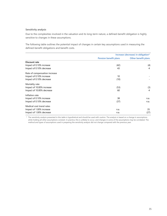### **Sensitivity analysis**

Due to the complexities involved in the valuation and its long-term nature, a defined-benefit obligation is highly sensitive to changes in these assumptions.

The following table outlines the potential impact of changes in certain key assumptions used in measuring the defined-benefit obligations and benefit costs.

|                               | Increase (decrease) in obligation* |                     |  |
|-------------------------------|------------------------------------|---------------------|--|
|                               | <b>Pension benefit plans</b>       | Other benefit plans |  |
| Discount rate                 |                                    |                     |  |
| Impact of 0.10% increase      | (42)                               | (4)                 |  |
| Impact of 0.10% decrease      | 43                                 | 4                   |  |
| Rate of compensation increase |                                    |                     |  |
| Impact of 0.10% increase      | 10                                 |                     |  |
| Impact of 0.10% decrease      | (10)                               |                     |  |
| Mortality rate                |                                    |                     |  |
| Impact of 10.00% increase     | (53)                               | (3)                 |  |
| Impact of 10.00% decrease     | 60                                 | 4                   |  |
| Inflation rate                |                                    |                     |  |
| Impact of 0.10% increase      | 38                                 | n.a.                |  |
| Impact of 0.10% decrease      | (37)                               | n.a.                |  |
| Medical cost trend rates      |                                    |                     |  |
| Impact of 1.00% increase      | n.a.                               | 35                  |  |
| Impact of 1.00% decrease      | n.a.                               | (27)                |  |

\* The sensitivity analysis presented in this table is hypothetical and should be used with caution. The analysis is based on a change in assumptions while holding all other assumptions constant. In practice, this is unlikely to occur, and changes in some of the assumptions may be correlated. The method and types of assumptions used in preparing the sensitivity analysis did not change compared with the previous year.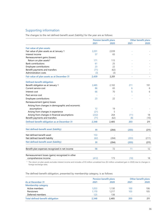### Supporting information

The changes to the net defined-benefit asset (liability) for the year are as follows:

|                                                  | <b>Pension benefit plans</b> |       | Other benefit plans |       |
|--------------------------------------------------|------------------------------|-------|---------------------|-------|
|                                                  | 2021                         | 2020  | 2021                | 2020  |
| Fair value of plan assets                        |                              |       |                     |       |
| Fair value of plan assets as at January 1        | 2,201                        | 2,039 |                     |       |
| Interest income                                  | 57                           | 65    |                     |       |
| Remeasurement gains (losses)                     |                              |       |                     |       |
| Return on plan assets*                           | 171                          | 115   |                     |       |
| <b>Bank contributions</b>                        | 61                           | 25    |                     |       |
| Employee contributions                           | 23                           | 22    |                     |       |
| Benefit payments and transfers                   | (71)                         | (62)  |                     |       |
| Administration costs                             | (3)                          | (3)   |                     |       |
| Fair value of plan assets as at December 31      | 2,439                        | 2,201 |                     |       |
| <b>Defined-benefit obligation</b>                |                              |       |                     |       |
| Benefit obligation as at January 1               | 2,485                        | 2,102 | 211                 | 191   |
| Current service cost                             | 86                           | 65    | 6                   | 6     |
| Interest cost                                    | 66                           | 70    | 5                   | 6     |
| Past service cost                                |                              |       |                     |       |
| Employee contributions                           | 23                           | 22    |                     |       |
| Remeasurement (gains) losses                     |                              |       |                     |       |
| Arising from changes in demographic and economic |                              |       |                     |       |
| assumptions                                      | 12                           | 19    |                     |       |
| Arising from changes in experience               | (21)                         | 5     |                     |       |
| Arising from changes in financial assumptions    | (232)                        | 264   | (11)                | 18    |
| Benefit payments and transfers                   | (71)                         | (62)  | (8)                 | (10)  |
| Defined-benefit obligation as at December 31     | 2,348                        | 2,485 | 203                 | 211   |
|                                                  |                              |       |                     |       |
| Net defined-benefit asset (liability)            | 91                           | (284) | (203)               | (211) |
| Net defined-benefit asset                        | 153                          |       |                     |       |
| Net defined-benefit liability                    | (62)                         | (284) | (203)               | (211) |
| Net defined-benefit asset (liability)            | 91                           | (284) | (203)               | (211) |
| Benefit plan expenses recognized in net income   | 98                           | 72    | 11                  | 12    |
| Remeasurement losses (gains) recognized in other |                              |       |                     |       |
| comprehensive income                             | (412)                        | 173   | (10)                | 18    |

\* The return on plan assets excludes interest income and includes a \$10 million unrealized loss (\$3 million unrealized gain in 2020) due to changes in foreign exchange rates.

The defined-benefit obligation, presented by membership category, is as follows:

|                                         | <b>Pension benefit plans</b> | Other benefit plans |      |      |
|-----------------------------------------|------------------------------|---------------------|------|------|
| As at December 31                       | 2021                         | 2020                | 2021 | 2020 |
| <b>Membership category</b>              |                              |                     |      |      |
| Active members                          | 1.053                        | 1,130               | 100  | 106  |
| Pensioners                              | 1.170                        | 1,217               | 103  | 105  |
| Deferred members                        | 125                          | 138                 | ۰    |      |
| <b>Total defined-benefit obligation</b> | 2.348                        | 2.485               | 203  | 211  |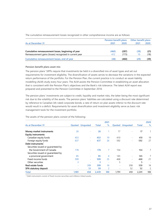The cumulative remeasurement losses recognized in other comprehensive income are as follows:

|                                                         | <b>Pension benefit plans</b> |       | Other benefit plans |      |
|---------------------------------------------------------|------------------------------|-------|---------------------|------|
| As at December 31                                       | 2021                         | 2020  | 2021                | 2020 |
|                                                         |                              |       |                     |      |
| Cumulative remeasurement losses, beginning of year      | (460)                        | (287) | (39)                | (21) |
| Remeasurement gains (losses) recognized in current year | 412                          | (173) | 10                  | (18) |
| Cumulative remeasurement losses, end of year            | (48)                         | (460) | (29                 | (39) |

### **Pension benefit plans asset mix**

The pension plans' SIPPs require that investments be held in a diversified mix of asset types and set out requirements for investment eligibility. The diversification of assets serves to decrease the variations in the expected return performance of the portfolio. For the Pension Plan, the current practice is to conduct an asset-liability modelling (ALM) study every four years. The ALM assists the Pension Committee in establishing an asset allocation that is consistent with the Pension Plan's objectives and the Bank's risk tolerance. The latest ALM report was prepared and presented to the Pension Committee in September 2018.

The pension plans' investments are subject to credit, liquidity and market risks, the latter being the most significant risk due to the volatility of the assets. The pension plans' liabilities are calculated using a discount rate determined by reference to Canadian AA-rated corporate bonds; a rate of return on plan assets inferior to the discount rate would result in a deficit. Requirements for asset diversification and investment eligibility serve as basic risk management tools for the investment portfolio.

|                                    |       |                 |       | 2021 |                          |                 |              | 2020           |
|------------------------------------|-------|-----------------|-------|------|--------------------------|-----------------|--------------|----------------|
| As at December 31                  |       | Quoted Unquoted | Total | %    | Quoted                   | <b>Unquoted</b> | <b>Total</b> | %              |
| Money market instruments           | 26    | ٠               | 26    |      | 17                       |                 | 17           |                |
| <b>Equity instruments</b>          |       |                 |       |      |                          |                 |              |                |
| Canadian equity funds              | 453   | ٠               | 453   | 19   | 410                      |                 | 410          | 19             |
| Foreign equity funds               | 637   | ٠               | 637   | 26   | 592                      |                 | 592          | 27             |
| Debt instruments <sup>*</sup>      |       |                 |       |      |                          |                 |              |                |
| Securities issued or guaranteed by |       |                 |       |      |                          |                 |              |                |
| the Government of Canada           | 178   | ۰               | 178   |      | 154                      |                 | 154          |                |
| Securities issued or guaranteed by |       |                 |       |      |                          |                 |              |                |
| a provincial government            | 85    | ۰               | 85    | 4    | 145                      |                 | 145          |                |
| Fixed-income funds                 | 599   | ٠               | 599   | 25   | 468                      |                 | 468          | 21             |
| Other securities                   | 3     | ۰               | 3     | ۰    | 5                        |                 | 5            |                |
| Real estate funds                  | ÷     | 399             | 399   | 16   | $\overline{\phantom{0}}$ | 358             | 358          | 16             |
| SPA statutory deposit              | ۰     | 59              | 59    | 2    | $\overline{\phantom{a}}$ | 52              | 52           | $\overline{c}$ |
| <b>Total</b>                       | 1,981 | 458             | 2,439 | 100  | 1,791                    | 410             | 2,201        | 100            |

The assets of the pension plans consist of the following:

\* *Debt instruments* consist of fixed-income securities and inflation-linked assets.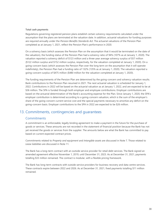#### **Total cash payments**

Regulations governing registered pension plans establish certain solvency requirements calculated under the assumption that the plans are terminated at the valuation date. In addition, actuarial valuations for funding purposes are required annually under the *Pension Benefits Standards Act*. The actuarial valuations of the Pension Plan completed as at January 1, 2021, reflect the Pension Plan's performance in 2020.

On a solvency basis (which assesses the Pension Plan on the assumption that it would be terminated on the date of the valuation), the funding status of the Pension Plan had a solvency ratio of 94% (107% as at January 1, 2020). The valuation reported a solvency deficit of \$123 million and a three-year average solvency surplus of \$57 million (\$122 million surplus and \$152 million surplus, respectively, for the valuation completed at January 1, 2020). On a going-concern basis (which assesses the Pension Plan over the long term on the assumption that it will operate indefinitely), the Pension Plan had a funding ratio of 132% (135% as at January 1, 2020). The valuation reported a going-concern surplus of \$475 million (\$480 million for the valuation completed at January 1, 2020).

The funding requirements of the Pension Plan are determined by the going-concern and solvency valuation results. Bank contributions to the Pension Plan resumed in 2021. The next actuarial valuation is scheduled for January 1, 2022. Contributions in 2022 will be based on the actuarial valuation as at January 1, 2022, and are expected to be at \$36 million. The SPA is funded through both employer and employee contributions. Employer contributions are based on the actuarial determination of the Bank's accounting expense for the Plan. Since January 1, 2020, the SPA's employer contribution is determined according to a going-concern valuation, which is the sum of the employer's share of the going-concern current service cost and the special payments necessary to amortize any deficit on the going-concern basis. Employer contributions to the SPA in 2022 are expected to be \$26 million.

### 13. Commitments, contingencies and guarantees

### **Commitments**

A commitment is an enforceable, legally binding agreement to make a payment in the future for the purchase of goods or services. These amounts are not recorded in the statement of financial position because the Bank has not yet received the goods or services from the supplier. The amounts below are what the Bank has committed to pay based on current expected contract prices.

Commitments related to *Property and equipment* and *Intangible assets* are discussed in Note 7. Those related to *Lease liabilities* are discussed in Note 11.

The Bank has a long-term contract with an outside service provider for retail debt services. The Bank signed an amended agreement effective November 1, 2019, until December 31, 2023. As at December 31, 2021, payments totalling \$33 million remained. The contract is modular, with a flexible pricing framework.

The Bank has long-term contracts with outside service providers for business recovery and data centre services. These contracts expire between 2022 and 2026. As at December 31, 2021, fixed payments totalling \$11 million remained.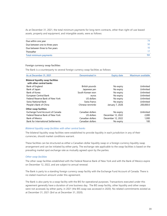As at December 31, 2021, the total minimum payments for long-term contracts, other than right-of-use leased assets, property and equipment, and intangible assets, were as follows:

| Due within one year             | 74              |
|---------------------------------|-----------------|
| Due between one to three years  | 50              |
| Due between three to five years | 10 <sup>°</sup> |
| Thereafter                      | 17              |
| <b>Total minimum payments</b>   | 151             |
|                                 |                 |

#### **Foreign currency swap facilities**

The Bank is a counterparty to several foreign currency swap facilities as follows:

| As at December 31, 2021                                                | Denominated in   | <b>Expiry date</b> |           |
|------------------------------------------------------------------------|------------------|--------------------|-----------|
| <b>Bilateral liquidity swap facilities</b><br>with other central banks |                  |                    |           |
| Bank of England                                                        | British pounds   | No expiry          | Unlimited |
| Bank of Japan                                                          | Japanese yen     | No expiry          | Unlimited |
| Bank of Korea                                                          | South Korean won | No expiry          | Unlimited |
| European Central Bank                                                  | euros            | No expiry          | Unlimited |
| Federal Reserve Bank of New York                                       | US dollars       | No expiry          | Unlimited |
| Swiss National Bank                                                    | Swiss francs     | No expiry          | Unlimited |
| People's Bank of China                                                 | Chinese renminbi | January 7, 2026    | 200,000.0 |
| Other swap facilities                                                  |                  |                    |           |
| Exchange Fund Account of Canada                                        | Canadian dollars | No expiry          | Unlimited |
| Federal Reserve Bank of New York                                       | US dollars       | December 12, 2022  | 2,000     |
| <b>Bank of Mexico</b>                                                  | Canadian dollars | December 12, 2022  | 1,000     |
| <b>Bank for International Settlements</b>                              | Canadian dollars | No expiry          | 100       |

#### *Bilateral liquidity swap facilities with other central banks*

The bilateral liquidity swap facilities were established to provide liquidity in each jurisdiction in any of their currencies, should market conditions warrant.

These facilities can be structured as either a Canadian-dollar liquidity swap or a foreign-currency liquidity swap arrangement and can be initiated by either party. The exchange rate applicable to the swap facilities is based on the prevailing market spot exchange rate as mutually agreed upon by the parties.

#### *Other swap facilities*

The other swap facilities established with the Federal Reserve Bank of New York and with the Bank of Mexico expire on December 12, 2022, and are subject to annual renewal.

The Bank is party to a standing foreign currency swap facility with the Exchange Fund Account of Canada. There is no stated maximum amount under this agreement.

The Bank is also party to a swap facility with the BIS for operational purposes. Transactions executed under this agreement generally have a duration of one business day. The BIS swap facility, other liquidity and other swaps were not accessed, by either party, in 2021 (the BIS swap was accessed in 2020). No related commitments existed as at December 31, 2021 (\$nil as at December 31, 2020).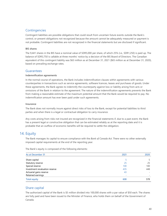### **Contingencies**

Contingent liabilities are possible obligations that could result from uncertain future events outside the Bank's control, or present obligations not recognized because the amount cannot be adequately measured or payment is not probable. Contingent liabilities are not recognized in the financial statements but are disclosed if significant.

### **BIS shares**

The 9,441 shares in the BIS have a nominal value of SDR5,000 per share, of which 25% (i.e., SDR1,250) is paid up. The balance of SDR3,750 is callable at three months' notice by a decision of the BIS Board of Directors. The Canadian equivalent of this contingent liability was \$63 million as at December 31, 2021 (\$65 million as at December 31, 2020), based on prevailing exchange rates.

### Guarantees

### **Indemnification agreements**

In the normal course of operations, the Bank includes indemnification clauses within agreements with various counterparties in transactions such as service agreements, software licences, leases and purchases of goods. Under these agreements, the Bank agrees to indemnify the counterparty against loss or liability arising from acts or omissions of the Bank in relation to the agreement. The nature of the indemnification agreements prevents the Bank from making a reasonable estimate of the maximum potential amount that the Bank would be required to pay. No indemnification amount has ever been paid under such agreements.

### **Insurance**

The Bank does not normally insure against direct risks of loss to the Bank, except for potential liabilities to third parties and when there is a legal or contractual obligation to carry insurance.

Any costs arising from risks not insured are recognized in the financial statements if, due to a past event, the Bank has a present legal or constructive obligation that can be estimated reliably as at the reporting date and it is probable that an outflow of economic benefits will be required to settle the obligation.

### 14. Equity

The Bank manages its capital to ensure compliance with the *Bank of Canada Act*. There were no other externally imposed capital requirements at the end of the reporting year.

| As at December 31<br>2021<br>Share capital<br>Statutory reserve<br>25<br>Special reserve<br>100<br>Investment revaluation reserve<br>435<br>Actuarial gains reserve<br>43<br>Retained earnings<br>٠<br><b>Total equity</b><br>608 |  |      |
|-----------------------------------------------------------------------------------------------------------------------------------------------------------------------------------------------------------------------------------|--|------|
|                                                                                                                                                                                                                                   |  | 2020 |
|                                                                                                                                                                                                                                   |  |      |
|                                                                                                                                                                                                                                   |  | 25   |
|                                                                                                                                                                                                                                   |  | 100  |
|                                                                                                                                                                                                                                   |  | 448  |
|                                                                                                                                                                                                                                   |  |      |
|                                                                                                                                                                                                                                   |  |      |
|                                                                                                                                                                                                                                   |  | 578  |

The Bank's equity is composed of the following elements:

### Share capital

The authorized capital of the Bank is \$5 million divided into 100,000 shares with a par value of \$50 each. The shares are fully paid and have been issued to the Minister of Finance, who holds them on behalf of the Government of Canada.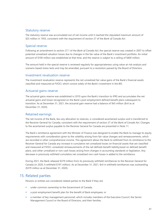### Statutory reserve

The statutory reserve was accumulated out of net income until it reached the stipulated maximum amount of \$25 million in 1955, consistent with the requirement of section 27 of the *Bank of Canada Act*.

### Special reserve

Following an amendment to section 27.1 of the *Bank of Canada Act*, the special reserve was created in 2007 to offset potential unrealized valuation losses due to changes in the fair value of the Bank's investment portfolio. An initial amount of \$100 million was established at that time, and the reserve is subject to a ceiling of \$400 million.

The amount held in the special reserve is reviewed regularly for appropriateness using value-at-risk analysis and scenario-based stress tests and may be amended, pursuant to a resolution passed by the Board of Directors.

### Investment revaluation reserve

The investment revaluation reserve represents the net unrealized fair value gains of the Bank's financial assets classified and measured at FVOCI, which consist solely of the Bank's investment in the BIS.

### Actuarial gains reserve

The actuarial gains reserve was established in 2010 upon the Bank's transition to IFRS and accumulates the net actuarial gains and losses recognized on the Bank's post-employment defined benefit plans subsequent to transition. As at December 31, 2021, the actuarial gain reserve had a balance of \$43 million (\$nil as at December 31, 2020).

### Retained earnings

The net income of the Bank, less any allocation to reserves, is considered ascertained surplus and is transferred to the Receiver General for Canada, consistent with the requirement of section 27 of the *Bank of Canada Act*. Changes to the ascertained surplus payable to the Receiver General for Canada are presented in Note 11.

The Bank's remittance agreement with the Minister of Finance was designed to enable the Bank to manage its equity requirements with consideration given to the volatility arising from fair value changes and remeasurements, which are recorded in other comprehensive income. This agreement allows the Bank to withhold from its remittance to the Receiver General for Canada any increase in cumulative net unrealized losses on financial assets that are classified and measured at FVOCI, unrealized remeasurements of the net defined-benefit liability/asset on defined-benefit plans, and other unrealized or non-cash losses arising from changes in accounting standards or legislation. Any decrease in previously withheld cumulative net unrealized non-cash losses is added to the remittance.

During 2021, the Bank released \$379 million from its previously withheld remittances to the Receiver General for Canada (in 2020, it withheld \$191 million). As at December 31, 2021, \$nil in withheld remittances was outstanding (\$379 million as at December 31, 2020).

### 15. Related parties

Persons or entities are considered related parties to the Bank if they are:

- under common ownership to the Government of Canada;
- a post-employment benefit plan for the benefit of Bank employees; or
- a member of key management personnel, which includes members of the Executive Council, the Senior Management Council or the Board of Directors, and their families.